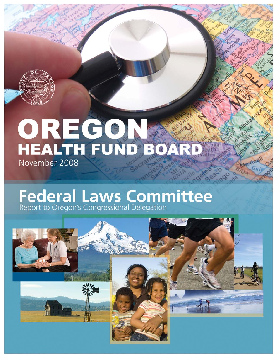

# OREGON SOAR November 2008

## **Federal Laws Committee**<br>Report to Oregon's Congressional Delegation

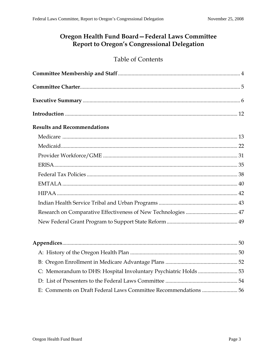## Oregon Health Fund Board-Federal Laws Committee Report to Oregon's Congressional Delegation

## **Table of Contents**

| <b>Results and Recommendations</b> |
|------------------------------------|
|                                    |
|                                    |
|                                    |
|                                    |
|                                    |
|                                    |
|                                    |
|                                    |
|                                    |
|                                    |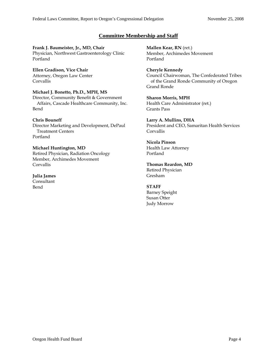#### **Committee Membership and Staff**

#### **Frank J. Baumeister, Jr., MD, Chair**

Physician, Northwest Gastroenterology Clinic Portland

**Ellen Gradison, Vice Chair**  Attorney, Oregon Law Center Corvallis

#### **Michael J. Bonetto, Ph.D., MPH, MS**  Director, Community Benefit & Government Affairs, Cascade Healthcare Community, Inc. Bend

**Chris Bouneff**  Director Marketing and Development, DePaul Treatment Centers Portland

**Michael Huntington, MD**  Retired Physician, Radiation Oncology Member, Archimedes Movement Corvallis

**Julia James**  Consultant Bend

**Mallen Kear, RN** (ret.) Member, Archimedes Movement Portland

**Cheryle Kennedy**  Council Chairwoman, The Confederated Tribes of the Grand Ronde Community of Oregon Grand Ronde

**Sharon Morris, MPH**  Health Care Administrator (ret.) Grants Pass

**Larry A. Mullins, DHA**  President and CEO, Samaritan Health Services Corvallis

**Nicola Pinson**  Health Law Attorney Portland

**Thomas Reardon, MD**  Retired Physician Gresham

**STAFF**  Barney Speight Susan Otter Judy Morrow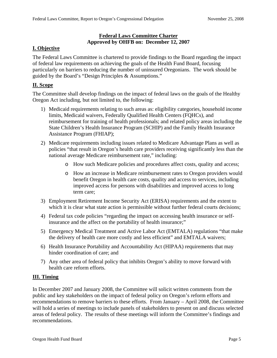#### **Federal Laws Committee Charter Approved by OHFB on: December 12, 2007**

#### **I. Objective**

The Federal Laws Committee is chartered to provide findings to the Board regarding the impact of federal law requirements on achieving the goals of the Health Fund Board, focusing particularly on barriers to reducing the number of uninsured Oregonians. The work should be guided by the Board's "Design Principles & Assumptions."

#### **II. Scope**

The Committee shall develop findings on the impact of federal laws on the goals of the Healthy Oregon Act including, but not limited to, the following:

- 1) Medicaid requirements relating to such areas as: eligibility categories, household income limits, Medicaid waivers, Federally Qualified Health Centers (FQHCs), and reimbursement for training of health professionals; and related policy areas including the State Children's Health Insurance Program (SCHIP) and the Family Health Insurance Assistance Program (FHIAP);
- 2) Medicare requirements including issues related to Medicare Advantage Plans as well as policies "that result in Oregon's health care providers receiving significantly less than the national average Medicare reimbursement rate," including:
	- o How such Medicare policies and procedures affect costs, quality and access;
	- o How an increase in Medicare reimbursement rates to Oregon providers would benefit Oregon in health care costs, quality and access to services, including improved access for persons with disabilities and improved access to long term care;
- 3) Employment Retirement Income Security Act (ERISA) requirements and the extent to which it is clear what state action is permissible without further federal courts decisions;
- 4) Federal tax code policies "regarding the impact on accessing health insurance or selfinsurance and the affect on the portability of health insurance;"
- 5) Emergency Medical Treatment and Active Labor Act (EMTALA) regulations "that make the delivery of health care more costly and less efficient" and EMTALA waivers;
- 6) Health Insurance Portability and Accountability Act (HIPAA) requirements that may hinder coordination of care; and
- 7) Any other area of federal policy that inhibits Oregon's ability to move forward with health care reform efforts.

#### **III. Timing**

In December 2007 and January 2008, the Committee will solicit written comments from the public and key stakeholders on the impact of federal policy on Oregon's reform efforts and recommendations to remove barriers to these efforts. From January – April 2008, the Committee will hold a series of meetings to include panels of stakeholders to present on and discuss selected areas of federal policy. The results of these meetings will inform the Committee's findings and recommendations.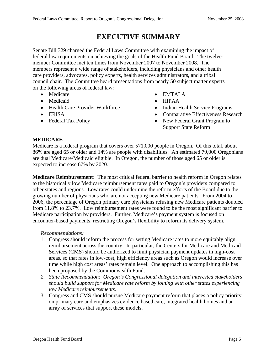## **EXECUTIVE SUMMARY**

Senate Bill 329 charged the Federal Laws Committee with examining the impact of federal law requirements on achieving the goals of the Health Fund Board. The twelvemember Committee met ten times from November 2007 to November 2008. The members represent a wide range of stakeholders, including physicians and other health care providers, advocates, policy experts, health services administrators, and a tribal council chair. The Committee heard presentations from nearly 50 subject matter experts on the following areas of federal law:

- Medicare
- Medicaid
- Health Care Provider Workforce
- ERISA
- Federal Tax Policy
- EMTALA
- HIPAA
- Indian Health Service Programs
- Comparative Effectiveness Research
- New Federal Grant Program to Support State Reform

#### **MEDICARE**

Medicare is a federal program that covers over 571,000 people in Oregon. Of this total, about 86% are aged 65 or older and 14% are people with disabilities. An estimated 79,000 Oregonians are dual Medicare/Medicaid eligible. In Oregon, the number of those aged 65 or older is expected to increase 67% by 2020.

**Medicare Reimbursement:** The most critical federal barrier to health reform in Oregon relates to the historically low Medicare reimbursement rates paid to Oregon's providers compared to other states and regions. Low rates could undermine the reform efforts of the Board due to the growing number of physicians who are not accepting new Medicare patients. From 2004 to 2006, the percentage of Oregon primary care physicians refusing new Medicare patients doubled from 11.8% to 23.7%. Low reimbursement rates were found to be the most significant barrier to Medicare participation by providers. Further, Medicare's payment system is focused on encounter-based payments, restricting Oregon's flexibility to reform its delivery system.

#### *Recommendations:*

- 1. Congress should reform the process for setting Medicare rates to more equitably align reimbursement across the country. In particular, the Centers for Medicare and Medicaid Services (CMS) should be authorized to limit physician payment updates in high-cost areas, so that rates in low-cost, high efficiency areas such as Oregon would increase over time while high cost areas' rates remain level. One approach to accomplishing this has been proposed by the Commonwealth Fund.
- *2. State Recommendation: Oregon's Congressional delegation and interested stakeholders should build support for Medicare rate reform by joining with other states experiencing low Medicare reimbursements.*
- 3. Congress and CMS should pursue Medicare payment reform that places a policy priority on primary care and emphasizes evidence based care, integrated health homes and an array of services that support these models.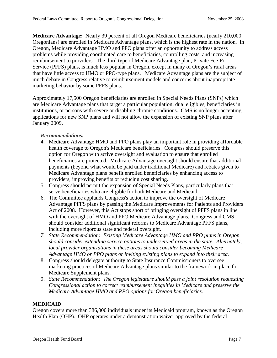**Medicare Advantage:** Nearly 39 percent of all Oregon Medicare beneficiaries (nearly 210,000 Oregonians) are enrolled in Medicare Advantage plans, which is the highest rate in the nation. In Oregon, Medicare Advantage HMO and PPO plans offer an opportunity to address access problems while providing coordinated care to beneficiaries, controlling costs, and increasing reimbursement to providers. The third type of Medicare Advantage plan, Private Fee-For-Service (PFFS) plans, is much less popular in Oregon, except in many of Oregon's rural areas that have little access to HMO or PPO-type plans. Medicare Advantage plans are the subject of much debate in Congress relative to reimbursement models and concerns about inappropriate marketing behavior by some PFFS plans.

Approximately 17,500 Oregon beneficiaries are enrolled in Special Needs Plans (SNPs) which are Medicare Advantage plans that target a particular population: dual eligibles, beneficiaries in institutions, or persons with severe or disabling chronic conditions. CMS is no longer accepting applications for new SNP plans and will not allow the expansion of existing SNP plans after January 2009.

#### *Recommendations:*

- 4. Medicare Advantage HMO and PPO plans play an important role in providing affordable health coverage to Oregon's Medicare beneficiaries. Congress should preserve this option for Oregon with active oversight and evaluation to ensure that enrolled beneficiaries are protected. Medicare Advantage oversight should ensure that additional payments (beyond what would be paid under traditional Medicare) and rebates given to Medicare Advantage plans benefit enrolled beneficiaries by enhancing access to providers, improving benefits or reducing cost sharing.
- 5. Congress should permit the expansion of Special Needs Plans, particularly plans that serve beneficiaries who are eligible for both Medicare and Medicaid.
- 6. The Committee applauds Congress's action to improve the oversight of Medicare Advantage PFFS plans by passing the Medicare Improvements for Patients and Providers Act of 2008. However, this Act stops short of bringing oversight of PFFS plans in line with the oversight of HMO and PPO Medicare Advantage plans. Congress and CMS should consider additional significant reforms to Medicare Advantage PFFS plans, including more rigorous state and federal oversight.
- *7. State Recommendation: Existing Medicare Advantage HMO and PPO plans in Oregon should consider extending service options to underserved areas in the state. Alternately, local provider organizations in these areas should consider becoming Medicare Advantage HMO or PPO plans or inviting existing plans to expand into their area.*
- 8. Congress should delegate authority to State Insurance Commissioners to oversee marketing practices of Medicare Advantage plans similar to the framework in place for Medicare Supplement plans.
- 9. *State Recommendation: The Oregon legislature should pass a joint resolution requesting Congressional action to correct reimbursement inequities in Medicare and preserve the Medicare Advantage HMO and PPO options for Oregon beneficiaries*.

#### **MEDICAID**

Oregon covers more than 386,000 individuals under its Medicaid program, known as the Oregon Health Plan (OHP). OHP operates under a demonstration waiver approved by the federal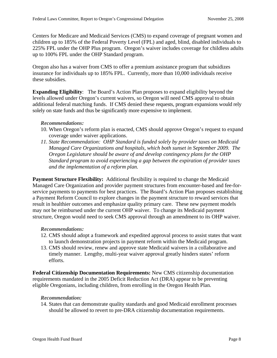Centers for Medicare and Medicaid Services (CMS) to expand coverage of pregnant women and children up to 185% of the Federal Poverty Level (FPL) and aged, blind, disabled individuals to 225% FPL under the OHP Plus program. Oregon's waiver includes coverage for childless adults up to 100% FPL under the OHP Standard program.

Oregon also has a waiver from CMS to offer a premium assistance program that subsidizes insurance for individuals up to 185% FPL. Currently, more than 10,000 individuals receive these subsidies.

**Expanding Eligibility**: The Board's Action Plan proposes to expand eligibility beyond the levels allowed under Oregon's current waivers, so Oregon will need CMS approval to obtain additional federal matching funds. If CMS denied these requests, program expansions would rely solely on state funds and thus be significantly more expensive to implement.

#### *Recommendations:*

- 10. When Oregon's reform plan is enacted, CMS should approve Oregon's request to expand coverage under waiver applications.
- *11. State Recommendation: OHP Standard is funded solely by provider taxes on Medicaid Managed Care Organizations and hospitals, which both sunset in September 2009. The Oregon Legislature should be aware of and develop contingency plans for the OHP Standard program to avoid experiencing a gap between the expiration of provider taxes and the implementation of a reform plan.*

**Payment Structure Flexibility:** Additional flexibility is required to change the Medicaid Managed Care Organization and provider payment structures from encounter-based and fee-forservice payments to payments for best practices. The Board's Action Plan proposes establishing a Payment Reform Council to explore changes in the payment structure to reward services that result in healthier outcomes and emphasize quality primary care. These new payment models may not be reimbursed under the current OHP waiver. To change its Medicaid payment structure, Oregon would need to seek CMS approval through an amendment to its OHP waiver.

#### *Recommendations:*

- 12. CMS should adopt a framework and expedited approval process to assist states that want to launch demonstration projects in payment reform within the Medicaid program.
- 13. CMS should review, renew and approve state Medicaid waivers in a collaborative and timely manner. Lengthy, multi-year waiver approval greatly hinders states' reform efforts.

**Federal Citizenship Documentation Requirements:** New CMS citizenship documentation requirements mandated in the 2005 Deficit Reduction Act (DRA) appear to be preventing eligible Oregonians, including children, from enrolling in the Oregon Health Plan.

#### *Recommendation:*

14. States that can demonstrate quality standards and good Medicaid enrollment processes should be allowed to revert to pre-DRA citizenship documentation requirements.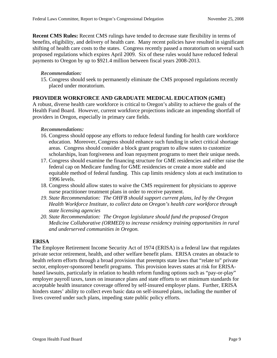**Recent CMS Rules:** Recent CMS rulings have tended to decrease state flexibility in terms of benefits, eligibility, and delivery of health care. Many recent policies have resulted in significant shifting of health care costs to the states. Congress recently passed a moratorium on several such proposed regulations which expires April 2009.Six of these rules would have reduced federal payments to Oregon by up to \$921.4 million between fiscal years 2008-2013.

#### *Recommendation:*

15. Congress should seek to permanently eliminate the CMS proposed regulations recently placed under moratorium.

#### **PROVIDER WORKFORCE AND GRADUATE MEDICAL EDUCATION (GME)**

A robust, diverse health care workforce is critical to Oregon's ability to achieve the goals of the Health Fund Board. However, current workforce projections indicate an impending shortfall of providers in Oregon, especially in primary care fields.

#### *Recommendations:*

- 16. Congress should oppose any efforts to reduce federal funding for health care workforce education. Moreover, Congress should enhance such funding in select critical shortage areas. Congress should consider a block grant program to allow states to customize scholarships, loan forgiveness and loan repayment programs to meet their unique needs.
- 17. Congress should examine the financing structure for GME residencies and either raise the federal cap on Medicare funding for GME residencies or create a more stable and equitable method of federal funding. This cap limits residency slots at each institution to 1996 levels.
- 18. Congress should allow states to waive the CMS requirement for physicians to approve nurse practitioner treatment plans in order to receive payment.
- *19. State Recommendation: The OHFB should support current plans, led by the Oregon Health Workforce Institute, to collect data on Oregon's health care workforce through state licensing agencies*
- *20. State Recommendation: The Oregon legislature should fund the proposed Oregon Medicine Collaborative (ORMED) to increase residency training opportunities in rural and underserved communities in Oregon.*

#### **ERISA**

The Employee Retirement Income Security Act of 1974 (ERISA) is a federal law that regulates private sector retirement, health, and other welfare benefit plans. ERISA creates an obstacle to health reform efforts through a broad provision that preempts state laws that "relate to" private sector, employer-sponsored benefit programs. This provision leaves states at risk for ERISAbased lawsuits, particularly in relation to health reform funding options such as "pay-or-play" employer payroll taxes, taxes on insurance plans and state efforts to set minimum standards for acceptable health insurance coverage offered by self-insured employer plans. Further, ERISA hinders states' ability to collect even basic data on self-insured plans, including the number of lives covered under such plans, impeding state public policy efforts.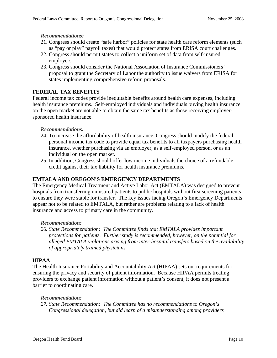#### *Recommendations:*

- 21. Congress should create "safe harbor" policies for state health care reform elements (such as "pay or play" payroll taxes) that would protect states from ERISA court challenges.
- 22. Congress should permit states to collect a uniform set of data from self-insured employers.
- 23. Congress should consider the National Association of Insurance Commissioners' proposal to grant the Secretary of Labor the authority to issue waivers from ERISA for states implementing comprehensive reform proposals.

#### **FEDERAL TAX BENEFITS**

Federal income tax codes provide inequitable benefits around health care expenses, including health insurance premiums. Self-employed individuals and individuals buying health insurance on the open market are not able to obtain the same tax benefits as those receiving employersponsored health insurance.

#### *Recommendations:*

- 24. To increase the affordability of health insurance, Congress should modify the federal personal income tax code to provide equal tax benefits to all taxpayers purchasing health insurance, whether purchasing via an employer, as a self-employed person, or as an individual on the open market.
- 25. In addition, Congress should offer low income individuals the choice of a refundable credit against their tax liability for health insurance premiums.

#### **EMTALA AND OREGON'S EMERGENCY DEPARTMENTS**

The Emergency Medical Treatment and Active Labor Act (EMTALA) was designed to prevent hospitals from transferring uninsured patients to public hospitals without first screening patients to ensure they were stable for transfer. The key issues facing Oregon's Emergency Departments appear not to be related to EMTALA, but rather are problems relating to a lack of health insurance and access to primary care in the community.

#### *Recommendation:*

*26. State Recommendation: The Committee finds that EMTALA provides important protections for patients. Further study is recommended, however, on the potential for alleged EMTALA violations arising from inter-hospital transfers based on the availability of appropriately trained physicians.* 

#### **HIPAA**

The Health Insurance Portability and Accountability Act (HIPAA) sets out requirements for ensuring the privacy and security of patient information. Because HIPAA permits treating providers to exchange patient information without a patient's consent, it does not present a barrier to coordinating care.

#### *Recommendation:*

*27. State Recommendation: The Committee has no recommendations to Oregon's Congressional delegation, but did learn of a misunderstanding among providers*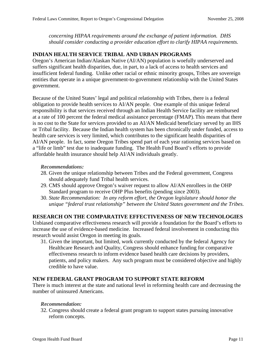*concerning HIPAA requirements around the exchange of patient information. DHS should consider conducting a provider education effort to clarify HIPAA requirements.* 

#### **INDIAN HEALTH SERVICE TRIBAL AND URBAN PROGRAMS**

Oregon's American Indian/Alaskan Native (AI/AN) population is woefully underserved and suffers significant health disparities, due, in part, to a lack of access to health services and insufficient federal funding. Unlike other racial or ethnic minority groups, Tribes are sovereign entities that operate in a unique government-to-government relationship with the United States government.

Because of the United States' legal and political relationship with Tribes, there is a federal obligation to provide health services to AI/AN people. One example of this unique federal responsibility is that services received through an Indian Health Service facility are reimbursed at a rate of 100 percent the federal medical assistance percentage (FMAP). This means that there is no cost to the State for services provided to an AI/AN Medicaid beneficiary served by an IHS or Tribal facility. Because the Indian health system has been chronically under funded, access to health care services is very limited, which contributes to the significant health disparities of AI/AN people. In fact, some Oregon Tribes spend part of each year rationing services based on a "life or limb" test due to inadequate funding. The Health Fund Board's efforts to provide affordable health insurance should help AI/AN individuals greatly.

#### *Recommendations:*

- 28. Given the unique relationship between Tribes and the Federal government, Congress should adequately fund Tribal health services.
- 29. CMS should approve Oregon's waiver request to allow AI/AN enrollees in the OHP Standard program to receive OHP Plus benefits (pending since 2003).
- 30. *State Recommendation: In any reform effort, the Oregon legislature should honor the unique "federal trust relationship" between the United States government and the Tribes.*

#### **RESEARCH ON THE COMPARATIVE EFFECTIVENESS OF NEW TECHNOLOGIES**

Unbiased comparative effectiveness research will provide a foundation for the Board's efforts to increase the use of evidence-based medicine. Increased federal involvement in conducting this research would assist Oregon in meeting its goals.

31. Given the important, but limited, work currently conducted by the federal Agency for Healthcare Research and Quality, Congress should enhance funding for comparative effectiveness research to inform evidence based health care decisions by providers, patients, and policy makers. Any such program must be considered objective and highly credible to have value.

#### **NEW FEDERAL GRANT PROGRAM TO SUPPORT STATE REFORM**

There is much interest at the state and national level in reforming health care and decreasing the number of uninsured Americans.

#### *Recommendation:*

32. Congress should create a federal grant program to support states pursuing innovative reform concepts.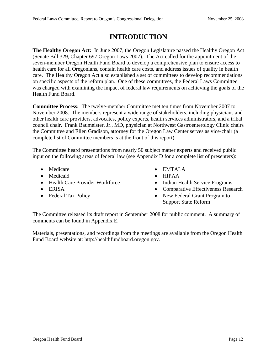## **INTRODUCTION**

**The Healthy Oregon Act:** In June 2007, the Oregon Legislature passed the Healthy Oregon Act (Senate Bill 329, Chapter 697 Oregon Laws 2007). The Act called for the appointment of the seven-member Oregon Health Fund Board to develop a comprehensive plan to ensure access to health care for all Oregonians, contain health care costs, and address issues of quality in health care. The Healthy Oregon Act also established a set of committees to develop recommendations on specific aspects of the reform plan. One of these committees, the Federal Laws Committee was charged with examining the impact of federal law requirements on achieving the goals of the Health Fund Board.

**Committee Process:** The twelve-member Committee met ten times from November 2007 to November 2008. The members represent a wide range of stakeholders, including physicians and other health care providers, advocates, policy experts, health services administrators, and a tribal council chair. Frank Baumeister, Jr., MD, physician at Northwest Gastroenterology Clinic chairs the Committee and Ellen Gradison, attorney for the Oregon Law Center serves as vice-chair (a complete list of Committee members is at the front of this report).

The Committee heard presentations from nearly 50 subject matter experts and received public input on the following areas of federal law (see Appendix D for a complete list of presenters):

- Medicare
- Medicaid
- Health Care Provider Workforce
- ERISA
- Federal Tax Policy
- EMTALA
- HIPAA
- Indian Health Service Programs
- Comparative Effectiveness Research
- New Federal Grant Program to Support State Reform

The Committee released its draft report in September 2008 for public comment. A summary of comments can be found in Appendix E.

Materials, presentations, and recordings from the meetings are available from the Oregon Health Fund Board website at: [http://healthfundboard.oregon.gov](http://healthfundboard.oregon.gov/).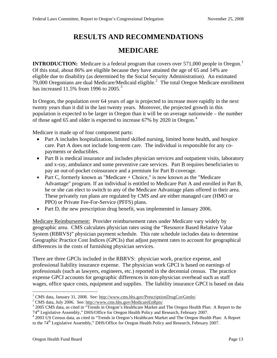## **RESULTS AND RECOMMENDATIONS**

## **MEDICARE**

**INTRODUCTION:** Medicare is a federal program that covers over 57[1](#page-11-0),000 people in Oregon.<sup>1</sup> Of this total, about 86% are eligible because they have attained the age of 65 and 14% are eligible due to disability (as determined by the Social Security Administration). An estimated 79,000 Oregonians are dual Medicare/Medicaid eligible. $^2$  $^2$  The total Oregon Medicare enrollment has increased 11.5% from 1996 to  $2005$ .<sup>[3](#page-11-2)</sup>

In Oregon, the population over 64 years of age is projected to increase more rapidly in the next twenty years than it did in the last twenty years. Moreover, the projected growth in this population is expected to be larger in Oregon than it will be on average nationwide – the number of those aged 65 and older is expected to increase 67% by 2020 in Oregon.[4](#page-11-3)

Medicare is made up of four component parts:

- Part A includes hospitalization, limited skilled nursing, limited home health, and hospice care. Part A does not include long-term care. The individual is responsible for any copayments or deductibles.
- Part B is medical insurance and includes physician services and outpatient visits, laboratory and x-ray, ambulance and some preventive care services. Part B requires beneficiaries to pay an out-of-pocket coinsurance and a premium for Part B coverage.
- Part C, formerly known as "Medicare + Choice," is now known as the "Medicare" Advantage" program. If an individual is entitled to Medicare Part A and enrolled in Part B, he or she can elect to switch to any of the Medicare Advantage plans offered in their area. These privately run plans are regulated by CMS and are either managed care (HMO or PPO) or Private Fee-For-Service (PFFS) plans.
- Part D, the new prescription drug benefit, was implemented in January 2006.

Medicare Reimbursement: Provider reimbursement rates under Medicare vary widely by geographic area. CMS calculates physician rates using the "Resource Based Relative Value System (RBRVS)" physician payment schedule. This rate schedule includes data to determine Geographic Practice Cost Indices (GPCIs) that adjust payment rates to account for geographical differences in the costs of furnishing physician services.

There are three GPCIs included in the RBRVS: physician work, practice expense, and professional liability insurance expense. The physician work GPCI is based on earnings of professionals (such as lawyers, engineers, etc.) reported in the decennial census. The practice expense GPCI accounts for geographic differences in non-physician overhead such as staff wages, office space costs, equipment and supplies. The liability insurance GPCI is based on data

 $\overline{a}$ <sup>1</sup> CMS data, January 31, 2008. See: http://www.cms.hhs.gov/PrescriptionDrugCovGenIn/<br> $\frac{2 \text{ CMS}}{2 \text{MS}}$  data, July 2006. See: http://www.ams.bbs.gov/MediagraEpPats/

<span id="page-11-1"></span><span id="page-11-0"></span><sup>&</sup>lt;sup>2</sup> CMS data, July 2006. See:<http://www.cms.hhs.gov/MedicareEnRpts/>

<span id="page-11-2"></span><sup>&</sup>lt;sup>3</sup> 2005 CMS data, as cited in "Trends in Oregon's Healthcare Market and The Oregon Health Plan: A Report to the 74<sup>th</sup> Legislative Assembly," DHS/Office for Oregon Health Policy and Research, February 2007.

<span id="page-11-3"></span> <sup>2003</sup> US Census data, as cited in "Trends in Oregon's Healthcare Market and The Oregon Health Plan: A Report to the 74<sup>th</sup> Legislative Assembly," DHS/Office for Oregon Health Policy and Research, February 2007.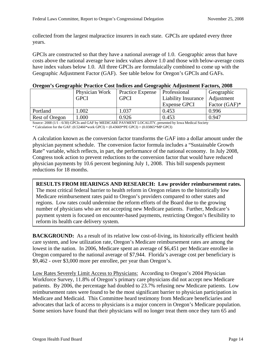collected from the largest malpractice insurers in each state. GPCIs are updated every three years.

GPCIs are constructed so that they have a national average of 1.0. Geographic areas that have costs above the national average have index values above 1.0 and those with below-average costs have index values below 1.0. All three GPCIs are formulaically combined to come up with the Geographic Adjustment Factor (GAF). See table below for Oregon's GPCIs and GAFs.

|                |                |                  | Oregon a Geographic Fractice Coat multed and Geographic raquatiful Factoral 2000 |                  |
|----------------|----------------|------------------|----------------------------------------------------------------------------------|------------------|
|                | Physician Work | Practice Expense | <b>Professional</b>                                                              | Geographic       |
|                | <b>GPCI</b>    | <b>GPCI</b>      | <b>Liability Insurance</b>                                                       | Adjustment       |
|                |                |                  | <b>Expense GPCI</b>                                                              | Factor $(GAF)^*$ |
| Portland       | .002           | 1.037            | 0.453                                                                            | 0.996            |
| Rest of Oregon | .000           | 0.926            | 0.453                                                                            | 0.947            |

#### **Oregon's Geographic Practice Cost Indices and Geographic Adjustment Factors, 2008**

Source: 2008 (1/1 - 6/30) GPCIs and GAF by MEDICARE PAYMENT LOCALITY, presented by Iowa Medical Society \* Calculation for the GAF: (0.52466\*work GPCI) + (0.43669\*PE GPCI) + (0.03865\*MP GPCI)

A calculation known as the conversion factor transforms the GAF into a dollar amount under the physician payment schedule. The conversion factor formula includes a "Sustainable Growth Rate" variable, which reflects, in part, the performance of the national economy. In July 2008, Congress took action to prevent reductions to the conversion factor that would have reduced physician payments by 10.6 percent beginning July 1, 2008. This bill suspends payment reductions for 18 months.

**RESULTS FROM HEARINGS AND RESEARCH: Low provider reimbursement rates.**  The most critical federal barrier to health reform in Oregon relates to the historically low Medicare reimbursement rates paid to Oregon's providers compared to other states and regions. Low rates could undermine the reform efforts of the Board due to the growing number of physicians who are not accepting new Medicare patients. Further, Medicare's payment system is focused on encounter-based payments, restricting Oregon's flexibility to reform its health care delivery system.

**BACKGROUND:** As a result of its relative low cost-of-living, its historically efficient health care system, and low utilization rate, Oregon's Medicare reimbursement rates are among the lowest in the nation. In 2006, Medicare spent an average of \$6,451 per Medicare enrollee in Oregon compared to the national average of \$7,944. Florida's average cost per beneficiary is \$9,462 - over \$3,000 more per enrollee, per year than Oregon's.

Low Rates Severely Limit Access to Physicians: According to Oregon's 2004 Physician Workforce Survey, 11.8% of Oregon's primary care physicians did not accept new Medicare patients. By 2006, the percentage had doubled to 23.7% refusing new Medicare patients. Low reimbursement rates were found to be the most significant barrier to physician participation in Medicare and Medicaid. This Committee heard testimony from Medicare beneficiaries and advocates that lack of access to physicians is a major concern in Oregon's Medicare population. Some seniors have found that their physicians will no longer treat them once they turn 65 and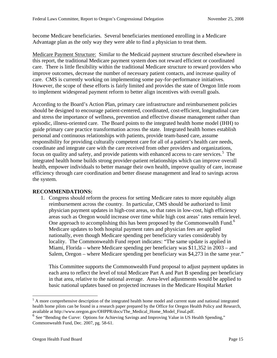become Medicare beneficiaries. Several beneficiaries mentioned enrolling in a Medicare Advantage plan as the only way they were able to find a physician to treat them.

Medicare Payment Structure: Similar to the Medicaid payment structure described elsewhere in this report, the traditional Medicare payment system does not reward efficient or coordinated care. There is little flexibility within the traditional Medicare structure to reward providers who improve outcomes, decrease the number of necessary patient contacts, and increase quality of care. CMS is currently working on implementing some pay-for-performance initiatives. However, the scope of these efforts is fairly limited and provides the state of Oregon little room to implement widespread payment reform to better align incentives with overall goals.

According to the Board's Action Plan, primary care infrastructure and reimbursement policies should be designed to encourage patient-centered, coordinated, cost-efficient, longitudinal care and stress the importance of wellness, prevention and effective disease management rather than episodic, illness-oriented care. The Board points to the integrated health home model (IHH) to guide primary care practice transformation across the state. Integrated health homes establish personal and continuous relationships with patients, provide team-based care, assume responsibility for providing culturally competent care for all of a patient's health care needs, coordinate and integrate care with the care received from other providers and organizations, focus on quality and safety, and provide patients with enhanced access to care services.<sup>[5](#page-13-0)</sup> The integrated health home builds strong provider-patient relationships which can improve overall health, empower individuals to better manage their own health, improve quality of care, increase efficiency through care coordination and better disease management and lead to savings across the system.

#### **RECOMMENDATIONS:**

1. Congress should reform the process for setting Medicare rates to more equitably align reimbursement across the country. In particular, CMS should be authorized to limit physician payment updates in high-cost areas, so that rates in low-cost, high efficiency areas such as Oregon would increase over time while high cost areas' rates remain level. One approach to accomplishing this has been proposed by the Commonwealth Fund.<sup>[6](#page-13-1)</sup> Medicare updates to both hospital payment rates and physician fees are applied nationally, even though Medicare spending per beneficiary varies considerably by locality. The Commonwealth Fund report indicates: "The same update is applied in Miami, Florida – where Medicare spending per beneficiary was \$11,352 in 2003 – and Salem, Oregon – where Medicare spending per beneficiary was \$4,273 in the same year."

This Committee supports the Commonwealth Fund proposal to adjust payment updates in each area to reflect the level of total Medicare Part A and Part B spending per beneficiary in that area, relative to the national average. Area-level adjustments would be applied to basic national updates based on projected increases in the Medicare Hospital Market

<span id="page-13-0"></span><sup>&</sup>lt;sup>5</sup> A more comprehensive description of the integrated health home model and current state and national integrated health home pilots can be found in a research paper prepared by the Office for Oregon Health Policy and Research, available at http://www.oregon.gov/OHPPR/docs/The\_Medical\_Home\_Model\_Final.pdf.

<span id="page-13-1"></span> $<sup>6</sup>$  See "Bending the Curve: Options for Achieving Savings and Improving Value in US Health Spending,"</sup> Commonwealth Fund, Dec. 2007, pg. 58-61.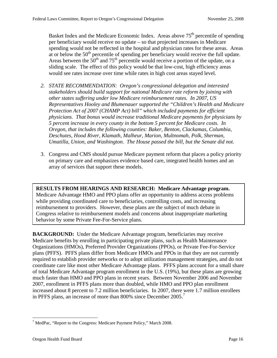Basket Index and the Medicare Economic Index. Areas above  $75<sup>th</sup>$  percentile of spending per beneficiary would receive no update – so that projected increases in Medicare spending would not be reflected in the hospital and physician rates for these areas. Areas at or below the  $50<sup>th</sup>$  percentile of spending per beneficiary would receive the full update. Areas between the  $50<sup>th</sup>$  and  $75<sup>th</sup>$  percentile would receive a portion of the update, on a sliding scale. The effect of this policy would be that low-cost, high efficiency areas would see rates increase over time while rates in high cost areas stayed level.

- *2. STATE RECOMMENDATION: Oregon's congressional delegation and interested stakeholders should build support for national Medicare rate reform by joining with other states suffering under low Medicare reimbursement rates. In 2007, US Representatives Hooley and Blumenauer supported the "Children's Health and Medicare Protection Act of 2007 (CHAMP Act) bill" which included payments for efficient physicians. That bonus would increase traditional Medicare payments for physicians by 5 percent increase in every county in the bottom 5 percent for Medicare costs. In Oregon, that includes the following counties: Baker, Benton, Clackamas, Columbia, Deschutes, Hood River, Klamath, Malheur, Marion, Multnomah, Polk, Sherman, Umatilla, Union, and Washington. The House passed the bill, but the Senate did not.*
- 3. Congress and CMS should pursue Medicare payment reform that places a policy priority on primary care and emphasizes evidence based care, integrated health homes and an array of services that support these models.

**RESULTS FROM HEARINGS AND RESEARCH: Medicare Advantage program.**  Medicare Advantage HMO and PPO plans offer an opportunity to address access problems while providing coordinated care to beneficiaries, controlling costs, and increasing reimbursement to providers. However, these plans are the subject of much debate in Congress relative to reimbursement models and concerns about inappropriate marketing behavior by some Private Fee-For-Service plans.

**BACKGROUND:** Under the Medicare Advantage program, beneficiaries may receive Medicare benefits by enrolling in participating private plans, such as Health Maintenance Organizations (HMOs), Preferred Provider Organizations (PPOs), or Private Fee-For-Service plans (PFFS). PFFS plans differ from Medicare HMOs and PPOs in that they are not currently required to establish provider networks or to adopt utilization management strategies, and do not coordinate care like most other Medicare Advantage plans. PFFS plans account for a small share of total Medicare Advantage program enrollment in the U.S. (19%), but these plans are growing much faster than HMO and PPO plans in recent years. Between November 2006 and November 2007, enrollment in PFFS plans more than doubled, while HMO and PPO plan enrollment increased about 8 percent to 7.2 million beneficiaries. In 2007, there were 1.7 million enrollees in PFFS plans, an increase of more than 800% since December 2005.<sup>[7](#page-14-0)</sup>

<u>.</u>

<span id="page-14-0"></span> $^7$  MedPac, "Report to the Congress: Medicare Payment Policy," March 2008.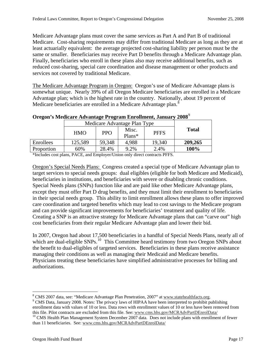Medicare Advantage plans must cover the same services as Part A and Part B of traditional Medicare. Cost-sharing requirements may differ from traditional Medicare as long as they are at least actuarially equivalent: the average projected cost-sharing liability per person must be the same or smaller. Beneficiaries may receive Part D benefits through a Medicare Advantage plan. Finally, beneficiaries who enroll in these plans also may receive additional benefits, such as reduced cost-sharing, special care coordination and disease management or other products and services not covered by traditional Medicare.

The Medicare Advantage Program in Oregon: Oregon's use of Medicare Advantage plans is somewhat unique. Nearly 39% of all Oregon Medicare beneficiaries are enrolled in a Medicare Advantage plan; which is the highest rate in the country. Nationally, about 19 percent of Medicare beneficiaries are enrolled in a Medicare Advantage plan.<sup>[8](#page-15-0)</sup>

| <b>Total</b><br>Misc.<br><b>PPO</b><br><b>PFFS</b><br><b>HMO</b><br>$Plans*$<br>59,348<br>4,988<br>125,589<br>19,340 |           |         |
|----------------------------------------------------------------------------------------------------------------------|-----------|---------|
|                                                                                                                      |           |         |
|                                                                                                                      | Enrollees | 209,265 |
| 100%<br>28.4%<br>2.4%<br>60%<br>9.2%<br>Proportion                                                                   |           |         |

#### **Oregon's Medicare Advantage Program Enrollment, January 2008**[9](#page-15-1)

\*Includes cost plans, PACE, and Employer/Union only direct contracts PFFS.

Oregon's Special Needs Plans: Congress created a special type of Medicare Advantage plan to target services to special needs groups: dual eligibles (eligible for both Medicare and Medicaid), beneficiaries in institutions, and beneficiaries with severe or disabling chronic conditions. Special Needs plans (SNPs) function like and are paid like other Medicare Advantage plans, except they must offer Part D drug benefits, and they must limit their enrollment to beneficiaries in their special needs group. This ability to limit enrollment allows these plans to offer improved care coordination and targeted benefits which may lead to cost savings to the Medicare program and can provide significant improvements for beneficiaries' treatment and quality of life. Creating a SNP is an attractive strategy for Medicare Advantage plans that can "carve out" high cost beneficiaries from their regular Medicare Advantage plan and lower their bid.

In 2007, Oregon had about 17,500 beneficiaries in a handful of Special Needs Plans, nearly all of which are dual-eligible SNPs.<sup>[10](#page-15-2)</sup> This Committee heard testimony from two Oregon SNPs about the benefit to dual-eligibles of targeted services. Beneficiaries in these plans receive assistance managing their conditions as well as managing their Medicaid and Medicare benefits. Physicians treating these beneficiaries have simplified administrative processes for billing and authorizations.

<span id="page-15-0"></span><sup>&</sup>lt;sup>8</sup> CMS 2007 data, see: "Medicare Advantage Plan Penetration, 2007" at [www.statehealthfacts.org](http://www.statehealthfacts.org/).<br><sup>9</sup> CMS Data, January 2008, Notae: The privacy laws of HIBA A have been interpreted to prohibit pr

<span id="page-15-1"></span><sup>&</sup>lt;sup>9</sup> CMS Data, January 2008. Notes: The privacy laws of HIPAA have been interpreted to prohibit publishing enrollment data with values of 10 or less. Data rows with enrollment values of 10 or less have been removed from

<span id="page-15-2"></span>this file. Pilot contracts are excluded from this file. See: [www.cms.hhs.gov/MCRAdvPartDEnrolData/](http://www.cms.hhs.gov/MCRAdvPartDEnrolData/)<br><sup>10</sup> CMS Health Plan Management System December 2007 data. Does not include plans with enrollment of fewer than 11 beneficiaries. See: [www.cms.hhs.gov/MCRAdvPartDEnrolData/](http://www.cms.hhs.gov/MCRAdvPartDEnrolData/)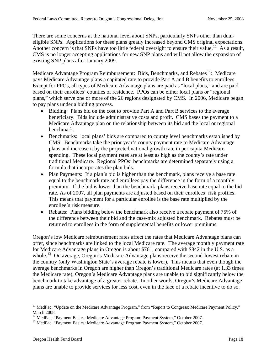There are some concerns at the national level about SNPs, particularly SNPs other than dualeligible SNPs. Applications for these plans greatly increased beyond CMS original expectations. Another concern is that SNPs have too little federal oversight to ensure their value.<sup>[11](#page-16-0)</sup> As a result, CMS is no longer accepting applications for new SNP plans and will not allow the expansion of existing SNP plans after January 2009.

Medicare Advantage Program Reimbursement: Bids, Benchmarks, and Rebates<sup>[12](#page-16-1)</sup>: Medicare pays Medicare Advantage plans a capitated rate to provide Part A and B benefits to enrollees. Except for PPOs, all types of Medicare Advantage plans are paid as "local plans," and are paid based on their enrollees' counties of residence. PPOs can be either local plans or "regional plans," which serve one or more of the 26 regions designated by CMS. In 2006, Medicare began to pay plans under a bidding process.

- Bidding: Plans bid on the cost to provide Part A and Part B services to the average beneficiary. Bids include administrative costs and profit. CMS bases the payment to a Medicare Advantage plan on the relationship between its bid and the local or regional benchmark.
- Benchmarks: local plans' bids are compared to county level benchmarks established by CMS. Benchmarks take the prior year's county payment rate to Medicare Advantage plans and increase it by the projected national growth rate in per capita Medicare spending. These local payment rates are at least as high as the county's rate under traditional Medicare. Regional PPOs' benchmarks are determined separately using a formula that incorporates the plan bids.
- Plan Payments: If a plan's bid is higher than the benchmark, plans receive a base rate equal to the benchmark rate and enrollees pay the difference in the form of a monthly premium. If the bid is lower than the benchmark, plans receive base rate equal to the bid rate. As of 2007, all plan payments are adjusted based on their enrollees' risk profiles. This means that payment for a particular enrollee is the base rate multiplied by the enrollee's risk measure.
- Rebates: Plans bidding below the benchmark also receive a rebate payment of 75% of the difference between their bid and the case-mix adjusted benchmark. Rebates must be returned to enrollees in the form of supplemental benefits or lower premiums.

Oregon's low Medicare reimbursement rates affect the rates that Medicare Advantage plans can offer, since benchmarks are linked to the local Medicare rate. The average monthly payment rate for Medicare Advantage plans in Oregon is about \$761, compared with \$842 in the U.S. as a whole.<sup>[13](#page-16-2)</sup> On average, Oregon's Medicare Advantage plans receive the second-lowest rebate in the country (only Washington State's average rebate is lower). This means that even though the average benchmarks in Oregon are higher than Oregon's traditional Medicare rates (at 1.33 times the Medicare rate), Oregon's Medicare Advantage plans are unable to bid significantly below the benchmark to take advantage of a greater rebate. In other words, Oregon's Medicare Advantage plans are unable to provide services for less cost, even in the face of a rebate incentive to do so.

<u>.</u>

<span id="page-16-0"></span><sup>&</sup>lt;sup>11</sup> MedPac: "Update on the Medicare Advantage Program," from "Report to Congress: Medicare Payment Policy," March 2008.

<span id="page-16-2"></span><span id="page-16-1"></span><sup>&</sup>lt;sup>12</sup> MedPac, "Payment Basics: Medicare Advantage Program Payment System," October 2007.<br><sup>13</sup> MedPac, "Payment Basics: Medicare Advantage Program Payment System," October 2007.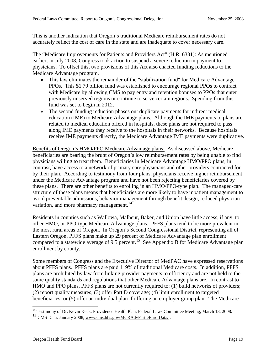This is another indication that Oregon's traditional Medicare reimbursement rates do not accurately reflect the cost of care in the state and are inadequate to cover necessary care.

The "Medicare Improvements for Patients and Providers Act" (H.R. 6331): As mentioned earlier, in July 2008, Congress took action to suspend a severe reduction in payment to physicians. To offset this, two provisions of this Act also enacted funding reductions to the Medicare Advantage program.

- This law eliminates the remainder of the "stabilization fund" for Medicare Advantage PPOs. This \$1.79 billion fund was established to encourage regional PPOs to contract with Medicare by allowing CMS to pay entry and retention bonuses to PPOs that enter previously unserved regions or continue to serve certain regions. Spending from this fund was set to begin in 2012.
- The second funding reduction phases out duplicate payments for indirect medical education (IME) to Medicare Advantage plans. Although the IME payments to plans are related to medical education offered in hospitals, these plans are not required to pass along IME payments they receive to the hospitals in their networks. Because hospitals receive IME payments directly, the Medicare Advantage IME payments were duplicative.

Benefits of Oregon's HMO/PPO Medicare Advantage plans: As discussed above, Medicare beneficiaries are bearing the brunt of Oregon's low reimbursement rates by being unable to find physicians willing to treat them. Beneficiaries in Medicare Advantage HMO/PPO plans, in contrast, have access to a network of primary care physicians and other providers contracted for by their plan. According to testimony from four plans, physicians receive higher reimbursement under the Medicare Advantage program and have not been rejecting beneficiaries covered by these plans. There are other benefits to enrolling in an HMO/PPO-type plan. The managed-care structure of these plans means that beneficiaries are more likely to have inpatient management to avoid preventable admissions, behavior management through benefit design, reduced physician variation, and more pharmacy management.<sup>[14](#page-17-0)</sup>

Residents in counties such as Wallowa, Malheur, Baker, and Union have little access, if any, to other HMO, or PPO-type Medicare Advantage plans. PFFS plans tend to be more prevalent in the most rural areas of Oregon. In Oregon's Second Congressional District, representing all of Eastern Oregon, PFFS plans make up 29 percent of Medicare Advantage plan enrollment compared to a statewide average of 9.5 percent.<sup>[15](#page-17-1)</sup> See Appendix B for Medicare Advantage plan enrollment by county.

Some members of Congress and the Executive Director of MedPAC have expressed reservations about PFFS plans. PFFS plans are paid 119% of traditional Medicare costs. In addition, PFFS plans are prohibited by law from linking provider payments to efficiency and are not held to the same quality standards and regulations that other Medicare Advantage plans are. In contrast to HMO and PPO plans, PFFS plans are not currently required to: (1) build networks of providers; (2) report quality measures; (3) offer Part D coverage; (4) limit enrollment to targeted beneficiaries; or (5) offer an individual plan if offering an employer group plan. The Medicare

<span id="page-17-0"></span><sup>1</sup> <sup>14</sup> Testimony of Dr. Kevin Keck, Providence Health Plan, Federal Laws Committee Meeting, March 13, 2008.

<span id="page-17-1"></span><sup>15</sup> CMS Data, January 2008, [www.cms.hhs.gov/MCRAdvPartDEnrolData/](http://www.cms.hhs.gov/MCRAdvPartDEnrolData/) .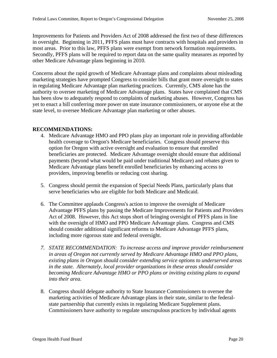Improvements for Patients and Providers Act of 2008 addressed the first two of these differences in oversight. Beginning in 2011, PFFS plans must have contracts with hospitals and providers in most areas. Prior to this law, PFFS plans were exempt from network formation requirements. Secondly, PFFS plans will be required to report data on the same quality measures as reported by other Medicare Advantage plans beginning in 2010.

Concerns about the rapid growth of Medicare Advantage plans and complaints about misleading marketing strategies have prompted Congress to consider bills that grant more oversight to states in regulating Medicare Advantage plan marketing practices. Currently, CMS alone has the authority to oversee marketing of Medicare Advantage plans. States have complained that CMS has been slow to adequately respond to complaints of marketing abuses. However, Congress has yet to enact a bill conferring more power on state insurance commissioners, or anyone else at the state level, to oversee Medicare Advantage plan marketing or other abuses.

#### **RECOMMENDATIONS:**

- 4. Medicare Advantage HMO and PPO plans play an important role in providing affordable health coverage to Oregon's Medicare beneficiaries. Congress should preserve this option for Oregon with active oversight and evaluation to ensure that enrolled beneficiaries are protected. Medicare Advantage oversight should ensure that additional payments (beyond what would be paid under traditional Medicare) and rebates given to Medicare Advantage plans benefit enrolled beneficiaries by enhancing access to providers, improving benefits or reducing cost sharing.
- 5. Congress should permit the expansion of Special Needs Plans, particularly plans that serve beneficiaries who are eligible for both Medicare and Medicaid.
- 6. The Committee applauds Congress's action to improve the oversight of Medicare Advantage PFFS plans by passing the Medicare Improvements for Patients and Providers Act of 2008. However, this Act stops short of bringing oversight of PFFS plans in line with the oversight of HMO and PPO Medicare Advantage plans. Congress and CMS should consider additional significant reforms to Medicare Advantage PFFS plans, including more rigorous state and federal oversight.
- *7. STATE RECOMMENDATION: To increase access and improve provider reimbursement in areas of Oregon not currently served by Medicare Advantage HMO and PPO plans, existing plans in Oregon should consider extending service options to underserved areas in the state. Alternately, local provider organizations in these areas should consider becoming Medicare Advantage HMO or PPO plans or inviting existing plans to expand into their area.*
- 8. Congress should delegate authority to State Insurance Commissioners to oversee the marketing activities of Medicare Advantage plans in their state, similar to the federalstate partnership that currently exists in regulating Medicare Supplement plans. Commissioners have authority to regulate unscrupulous practices by individual agents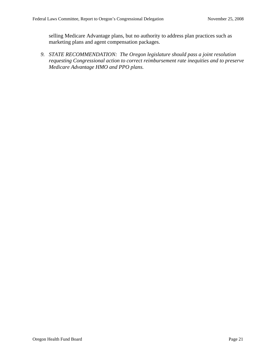selling Medicare Advantage plans, but no authority to address plan practices such as marketing plans and agent compensation packages.

*9. STATE RECOMMENDATION: The Oregon legislature should pass a joint resolution requesting Congressional action to correct reimbursement rate inequities and to preserve Medicare Advantage HMO and PPO plans.*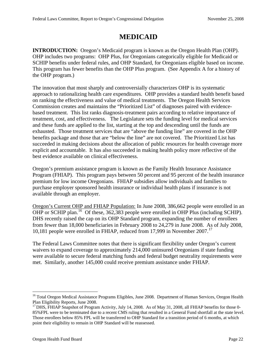## **MEDICAID**

**INTRODUCTION:** Oregon's Medicaid program is known as the Oregon Health Plan (OHP). OHP includes two programs: OHP Plus, for Oregonians categorically eligible for Medicaid or SCHIP benefits under federal rules, and OHP Standard, for Oregonians eligible based on income. This program has fewer benefits than the OHP Plus program. (See Appendix A for a history of the OHP program.)

The innovation that most sharply and controversially characterizes OHP is its systematic approach to rationalizing health care expenditures. OHP provides a standard health benefit based on ranking the effectiveness and value of medical treatments. The Oregon Health Services Commission creates and maintains the "Prioritized List" of diagnoses paired with evidencebased treatment. This list ranks diagnosis-treatment pairs according to relative importance of treatment, cost, and effectiveness. The Legislature sets the funding level for medical services and these funds are applied to the list, starting at the top and descending until the funds are exhausted. Those treatment services that are "above the funding line" are covered in the OHP benefits package and those that are "below the line" are not covered. The Prioritized List has succeeded in making decisions about the allocation of public resources for health coverage more explicit and accountable. It has also succeeded in making health policy more reflective of the best evidence available on clinical effectiveness.

Oregon's premium assistance program is known as the Family Health Insurance Assistance Program (FHIAP). This program pays between 50 percent and 95 percent of the health insurance premium for low income Oregonians. FHIAP subsidies allow individuals and families to purchase employer sponsored health insurance or individual health plans if insurance is not available through an employer.

Oregon's Current OHP and FHIAP Population: In June 2008, 386,662 people were enrolled in an OHP or SCHIP plan.<sup>[16](#page-20-0)</sup> Of these, 362,383 people were enrolled in OHP Plus (including SCHIP). DHS recently raised the cap on its OHP Standard program, expanding the number of enrollees from fewer than 18,000 beneficiaries in February 2008 to 24,279 in June 2008. As of July 2008, 10,181 people were enrolled in FHIAP, reduced from [17](#page-20-1),999 in November 2007.<sup>17</sup>

The Federal Laws Committee notes that there is significant flexibility under Oregon's current waivers to expand coverage to approximately 214,000 uninsured Oregonians if state funding were available to secure federal matching funds and federal budget neutrality requirements were met. Similarly, another 145,000 could receive premium assistance under FHIAP.

<span id="page-20-0"></span><sup>1</sup> <sup>16</sup> Total Oregon Medical Assistance Programs Eligibles, June 2008. Department of Human Services, Oregon Health Plan Eligibility Reports, June 2008.

<span id="page-20-1"></span><sup>&</sup>lt;sup>17</sup> DHS, FHIAP Snapshot of Program Activity, July 14, 2008. As of May 31, 2008, all FHIAP benefits for those 0-85%FPL were to be terminated due to a recent CMS ruling that resulted in a General Fund shortfall at the state level. Those enrollees below 85% FPL will be transferred to OHP Standard for a transition period of 6 months, at which point their eligibility to remain in OHP Standard will be reassessed.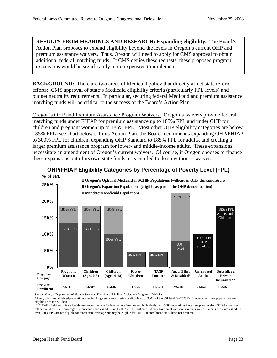**RESULTS FROM HEARINGS AND RESEARCH: Expanding eligibility.** The Board's Action Plan proposes to expand eligibility beyond the levels in Oregon's current OHP and premium assistance waivers. Thus, Oregon will need to apply for CMS approval to obtain additional federal matching funds. If CMS denies these requests, these proposed program expansions would be significantly more expensive to implement.

**BACKGROUND:** There are two areas of Medicaid policy that directly affect state reform efforts: CMS approval of state's Medicaid eligibility criteria (particularly FPL levels) and budget neutrality requirements. In particular, securing federal Medicaid and premium assistance matching funds will be critical to the success of the Board's Action Plan.

Oregon's OHP and Premium Assistance Program Waivers: Oregon's waivers provide federal matching funds under FHIAP for premium assistance up to 185% FPL and under OHP for children and pregnant women up to 185% FPL. Most other OHP eligibility categories are below 185% FPL (see chart below). In its Action Plan, the Board recommends expanding OHP/FHIAP to 300% FPL for children, expanding OHP Standard to 185% FPL for adults, and creating a larger premium assistance program for lower- and middle-income adults. These expansions necessitate an amendment of Oregon's current waivers. Of course, if Oregon chooses to finance these expansions out of its own state funds, it is entitled to do so without a waiver.





Source: Oregon Department of Human Services, Division of Medical Assistance Programs (DMAP)

\*Aged, blind, and disabled populations meeting long-term care criteria are eligible up to 300% of the SSI level (=225% FPL); otherwise, these populations are eligible up to the SSI level

 \*\*FHIAP subsidizes private health insurance coverage for low income families and individuals. All OHP populations have the option to elect FHIAP coverage rather than direct state coverage. Parents and childless adults up to 100% FPL must enroll if they have employer sponsored insurance. Parents and childless adults over 100% FPL are not eligible for direct state coverage but may be eligible for FHIAP if enrollment limits have not been met.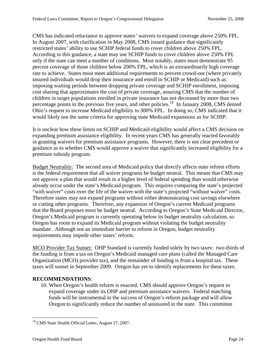CMS has indicated reluctance to approve states' waivers to expand coverage above 250% FPL. In August 2007, with clarification in May 2008, CMS issued guidance that significantly restricted states' ability to use SCHIP federal funds to cover children above 250% FPL. According to this guidance, a state may use SCHIP funds to cover children above 250% FPL only if the state can meet a number of conditions. Most notably, states must demonstrate 95 percent coverage of those children below 200% FPL, which is an extraordinarily high coverage rate to achieve. States must meet additional requirements to prevent crowd-out (where privately insured individuals would drop their insurance and enroll in SCHIP or Medicaid) such as: imposing waiting periods between dropping private coverage and SCHIP enrollment, imposing cost sharing that approximates the cost of private coverage, assuring CMS that the number of children in target populations enrolled in private insurance has not decreased by more than two percentage points in the previous five years, and other policies.<sup>[18](#page-22-0)</sup> In January 2008, CMS denied Ohio's request to increase Medicaid eligibility to 300% FPL. In doing so, CMS indicated that it would likely use the same criteria for approving state Medicaid expansions as for SCHIP.

It is unclear how these limits on SCHIP and Medicaid eligibility would affect a CMS decision on expanding premium assistance eligibility. In recent years CMS has generally reacted favorably in granting waivers for premium assistance programs. However, there is not clear precedent or guidance as to whether CMS would approve a waiver that significantly increased eligibility for a premium subsidy program.

Budget Neutrality: The second area of Medicaid policy that directly affects state reform efforts is the federal requirement that all waiver programs be budget neutral. This means that CMS may not approve a plan that would result in a higher level of federal spending than would otherwise already occur under the state's Medicaid program. This requires comparing the state's projected "with waiver" costs over the life of the waiver with the state's projected "without waiver" costs. Therefore states may not expand programs without either demonstrating cost savings elsewhere or cutting other programs. Therefore, any expansion of Oregon's current Medicaid programs that the Board proposes must be budget neutral. According to Oregon's State Medicaid Director, Oregon's Medicaid program is currently operating below its budget neutrality calculation, so Oregon has room to expand its Medicaid program without violating the budget neutrality mandate. Although not an immediate barrier to reform in Oregon, budget neutrality requirements may impede other states' reform.

MCO Provider Tax Sunset: OHP Standard is currently funded solely by two taxes: two-thirds of the funding is from a tax on Oregon's Medicaid managed care plans (called the Managed Care Organization (MCO) provider tax), and the remainder of funding is from a hospital tax. These taxes will sunset in September 2009. Oregon has yet to identify replacements for these taxes.

#### **RECOMMENDATIONS**:

10. When Oregon's health reform is enacted, CMS should approve Oregon's request to expand coverage under its OHP and premium assistance waivers. Federal matching funds will be instrumental in the success of Oregon's reform package and will allow Oregon to significantly reduce the number of uninsured in the state. This committee

<span id="page-22-0"></span><sup>&</sup>lt;sup>18</sup> CMS State Health Official Letter, August 17, 2007.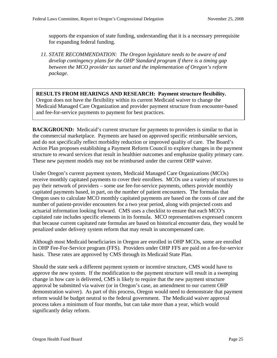supports the expansion of state funding, understanding that it is a necessary prerequisite for expanding federal funding.

*11. STATE RECOMMENDATION: The Oregon legislature needs to be aware of and develop contingency plans for the OHP Standard program if there is a timing gap between the MCO provider tax sunset and the implementation of Oregon's reform package.* 

**RESULTS FROM HEARINGS AND RESEARCH: Payment structure flexibility.** Oregon does not have the flexibility within its current Medicaid waiver to change the Medicaid Managed Care Organization and provider payment structure from encounter-based and fee-for-service payments to payment for best practices.

**BACKGROUND:** Medicaid's current structure for payments to providers is similar to that in the commercial marketplace. Payments are based on approved specific reimbursable services, and do not specifically reflect morbidity reduction or improved quality of care. The Board's Action Plan proposes establishing a Payment Reform Council to explore changes in the payment structure to reward services that result in healthier outcomes and emphasize quality primary care. These new payment models may not be reimbursed under the current OHP waiver.

Under Oregon's current payment system, Medicaid Managed Care Organizations (MCOs) receive monthly capitated payments to cover their enrollees. MCOs use a variety of structures to pay their network of providers – some use fee-for-service payments, others provide monthly capitated payments based, in part, on the number of patient encounters. The formulas that Oregon uses to calculate MCO monthly capitated payments are based on the costs of care and the number of patient-provider encounters for a two year period, along with projected costs and actuarial information looking forward. CMS uses a checklist to ensure that each MCO's capitated rate includes specific elements in its formula. MCO representatives expressed concern that because current capitated rate formulas are based on historical encounter data, they would be penalized under delivery system reform that may result in uncompensated care.

Although most Medicaid beneficiaries in Oregon are enrolled in OHP MCOs, some are enrolled in OHP Fee-For-Service program (FFS). Providers under OHP FFS are paid on a fee-for-service basis. These rates are approved by CMS through its Medicaid State Plan.

Should the state seek a different payment system or incentive structure, CMS would have to approve the new system. If the modification to the payment structure will result in a sweeping change in how care is delivered, CMS is likely to require that the new payment structure approval be submitted via waiver (or in Oregon's case, an amendment to our current OHP demonstration waiver). As part of this process, Oregon would need to demonstrate that payment reform would be budget neutral to the federal government. The Medicaid waiver approval process takes a minimum of four months, but can take more than a year, which would significantly delay reform.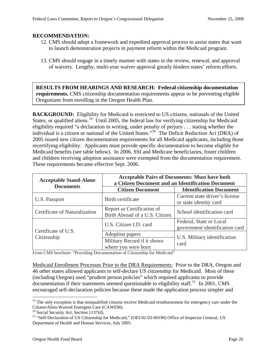#### **RECOMMENDATION:**

- 12. CMS should adopt a framework and expedited approval process to assist states that want to launch demonstration projects in payment reform within the Medicaid program.
- 13. CMS should engage in a timely manner with states in the review, renewal, and approval of waivers. Lengthy, multi-year waiver approval greatly hinders states' reform efforts.

**RESULTS FROM HEARINGS AND RESEARCH: Federal citizenship documentation requirements.** CMS citizenship documentation requirements appear to be preventing eligible Oregonians from enrolling in the Oregon Health Plan.

**BACKGROUND:** Eligibility for Medicaid is restricted to US citizens, nationals of the United States, or qualified aliens.<sup>[19](#page-24-0)</sup> Until 2005, the federal law for verifying citizenship for Medicaid eligibility required "a declaration in writing, under penalty of perjury . . . stating whether the individual is a citizen or national of the United States."[20](#page-24-1) The Deficit Reduction Act (DRA) of 2005 issued new citizen documentation requirements for all Medicaid applicants, including those recertifying eligibility. Applicants must provide specific documentation to become eligible for Medicaid benefits (see table below). In 2006, SSI and Medicare beneficiaries, foster children and children receiving adoption assistance were exempted from the documentation requirement. These requirements became effective Sept. 2006.

| <b>Acceptable Stand-Alone</b><br><b>Documents</b> | <b>Acceptable Pairs of Documents: Must have both</b><br>a Citizen Document and an Identification Document |                                                           |  |
|---------------------------------------------------|-----------------------------------------------------------------------------------------------------------|-----------------------------------------------------------|--|
|                                                   | <b>Citizen Document</b>                                                                                   | <b>Identification Document</b>                            |  |
| U.S. Passport                                     | Birth certificate                                                                                         | Current state driver's license<br>or state identity card  |  |
| Certificate of Naturalization                     | Report or Certification of<br>Birth Abroad of a U.S. Citizen                                              | School identification card                                |  |
| Certificate of U.S.                               | U.S. Citizen I.D. card                                                                                    | Federal, State or Local<br>government identification card |  |
| Citizenship                                       | Adoption papers<br>Military Record if it shows<br>where you were born                                     | U.S. Military identification<br>card                      |  |

From CMS brochure: "Providing Documentation of Citizenship for Medicaid"

Medicaid Enrollment Processes Prior to the DRA Requirements: Prior to the DRA, Oregon and 46 other states allowed applicants to self-declare US citizenship for Medicaid. Most of these (including Oregon) used "prudent person policies" which required applicants to provide documentation if their statements seemed questionable to eligibility staff.<sup>[21](#page-24-2)</sup> In 2001, CMS encouraged self-declaration policies because these made the application process simpler and

1

<span id="page-24-0"></span> $19$  The only exception is that nonqualified citizens receive Medicaid reimbursement for emergency care under the Citizen/Alien-Waived Emergent Care (CAWEM).

 $20$  Social Security Act, Section 1137(d).

<span id="page-24-2"></span><span id="page-24-1"></span><sup>&</sup>lt;sup>21</sup> "Self-Declaration of US Citizenship for Medicaid," (OEI-02-03-00190) Office of Inspector General, US Department of Health and Human Services, July 2005.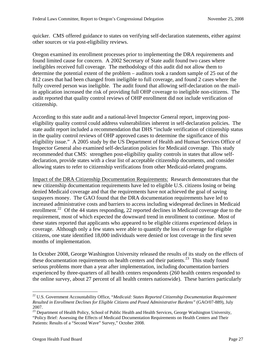quicker. CMS offered guidance to states on verifying self-declaration statements, either against other sources or via post-eligibility reviews.

Oregon examined its enrollment processes prior to implementing the DRA requirements and found limited cause for concern. A 2002 Secretary of State audit found two cases where ineligibles received full coverage. The methodology of this audit did not allow them to determine the potential extent of the problem – auditors took a random sample of 25 out of the 812 cases that had been changed from ineligible to full coverage, and found 2 cases where the fully covered person was ineligible. The audit found that allowing self-declaration on the mailin application increased the risk of providing full OHP coverage to ineligible non-citizens. The audit reported that quality control reviews of OHP enrollment did not include verification of citizenship.

According to this state audit and a national-level Inspector General report, improving posteligibility quality control could address vulnerabilities inherent in self-declaration policies. The state audit report included a recommendation that DHS "include verification of citizenship status in the quality control reviews of OHP approved cases to determine the significance of this eligibility issue." A 2005 study by the US Department of Health and Human Services Office of Inspector General also examined self-declaration policies for Medicaid coverage. This study recommended that CMS: strengthen post-eligibility quality controls in states that allow selfdeclaration, provide states with a clear list of acceptable citizenship documents, and consider allowing states to refer to citizenship verifications from other Medicaid-related programs.

Impact of the DRA Citizenship Documentation Requirements: Research demonstrates that the new citizenship documentation requirements have led to eligible U.S. citizens losing or being denied Medicaid coverage and that the requirements have not achieved the goal of saving taxpayers money. The GAO found that the DRA documentation requirements have led to increased administrative costs and barriers to access including widespread declines in Medicaid enrollment.<sup>[22](#page-25-0)</sup> Of the 44 states responding, 22 reported declines in Medicaid coverage due to the requirement, most of which expected the downward trend in enrollment to continue. Most of these states reported that applicants who appeared to be eligible citizens experienced delays in coverage. Although only a few states were able to quantify the loss of coverage for eligible citizens, one state identified 18,000 individuals were denied or lost coverage in the first seven months of implementation.

In October 2008, George Washington University released the results of its study on the effects of these documentation requirements on health centers and their patients.<sup>[23](#page-25-1)</sup> This study found serious problems more than a year after implementation, including documentation barriers experienced by three-quarters of all health centers respondents (260 health centers responded to the online survey, about 27 percent of all health centers nationwide). These barriers particularly

<span id="page-25-0"></span><sup>22</sup> U.S. Government Accountability Office, "*Medicaid: States Reported Citizenship Documentation Requirement Resulted in Enrollment Declines for Eligible Citizens and Posed Administrative Burdens"* (GAO/07-889), July 2007.

<span id="page-25-1"></span><sup>&</sup>lt;sup>23</sup> Department of Health Policy, School of Public Health and Health Services, George Washington University, "Policy Brief: Assessing the Effects of Medicaid Documentation Requirements on Health Centers and Their Patients: Results of a "Second Wave" Survey," October 2008.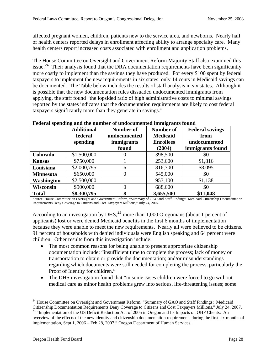affected pregnant women, children, patients new to the service area, and newborns. Nearly half of health centers reported delays in enrollment affecting ability to arrange specialty care. Many health centers report increased costs associated with enrollment and application problems.

The House Committee on Oversight and Government Reform Majority Staff also examined this issue.<sup>[24](#page-26-0)</sup> Their analysis found that the DRA documentation requirements have been significantly more costly to implement than the savings they have produced. For every \$100 spent by federal taxpayers to implement the new requirements in six states, only 14 cents in Medicaid savings can be documented. The Table below includes the results of staff analysis in six states. Although it is possible that the new documentation rules dissuaded undocumented immigrants from applying, the staff found "the lopsided ratio of high administrative costs to minimal savings reported by the states indicates that the documentation requirements are likely to cost federal taxpayers significantly more than they generate in savings."

| т састат эрспанц, ана ию нашост от анаосашенса пшиц, ана тоана |                   |              |                  |                        |
|----------------------------------------------------------------|-------------------|--------------|------------------|------------------------|
|                                                                | <b>Additional</b> | Number of    | <b>Number of</b> | <b>Federal savings</b> |
|                                                                | federal           | undocumented | <b>Medicaid</b>  | from                   |
|                                                                | spending          | immigrants   | <b>Enrollees</b> | undocumented           |
|                                                                |                   | found        | (2004)           | immigrants found       |
| Colorado                                                       | \$1,500,000       |              | 398,500          | \$0                    |
| <b>Kansas</b>                                                  | \$750,000         |              | 253,600          | \$1,816                |
| Louisiana                                                      | \$2,000,795       | 6            | 816,700          | \$8,095                |
| <b>Minnesota</b>                                               | \$650,000         |              | 545,000          | \$0                    |
| <b>Washington</b>                                              | \$2,500,000       |              | 953,100          | \$1,138                |
| <b>Wisconsin</b>                                               | \$900,000         |              | 688,600          | \$0                    |
| <b>Total</b>                                                   | \$8,300,795       | 8            | 3,655,500        | \$11,048               |

#### **Federal spending and the number of undocumented immigrants found**

Source: House Committee on Oversight and Government Reform, "Summary of GAO and Staff Findings: Medicaid Citizenship Documentation Requirements Deny Coverage to Citizens and Cost Taxpayers Millions," July 24, 2007.

According to an investigation by DHS,<sup>[25](#page-26-1)</sup> more than 1,000 Oregonians (about 1 percent of applicants) lost or were denied Medicaid benefits in the first 6 months of implementation because they were unable to meet the new requirements. Nearly all were believed to be citizens. 91 percent of households with denied individuals were English speaking and 64 percent were children. Other results from this investigation include:

- The most common reasons for being unable to present appropriate citizenship documentation include: "insufficient time to complete the process; lack of money or transportation to obtain or provide the documentation; and/or misunderstandings regarding which documents were still needed for completing the process, particularly the Proof of Identity for children."
- The DHS investigation found that "in some cases children were forced to go without medical care as minor health problems grew into serious, life-threatening issues; some

<span id="page-26-0"></span><sup>&</sup>lt;sup>24</sup> House Committee on Oversight and Government Reform, "Summary of GAO and Staff Findings: Medicaid Citizenship Documentation Requirements Deny Coverage to Citizens and Cost Taxpayers Millions," July 24, 2007. 25 "Implementation of the US Deficit Reduction Act of 2005 in Oregon and Its Impacts on OHP Clients: An

<span id="page-26-1"></span>overview of the effects of the new identity and citizenship documentation requirements during the first six months of implementation, Sept 1, 2006 – Feb 28, 2007," Oregon Department of Human Services.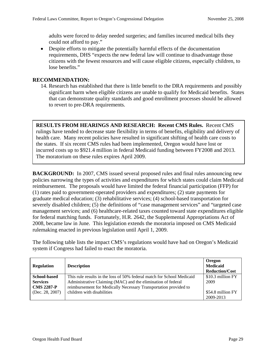adults were forced to delay needed surgeries; and families incurred medical bills they could not afford to pay."

• Despite efforts to mitigate the potentially harmful effects of the documentation requirements, DHS "expects the new federal law will continue to disadvantage those citizens with the fewest resources and will cause eligible citizens, especially children, to lose benefits."

#### **RECOMMENDATION:**

14. Research has established that there is little benefit to the DRA requirements and possibly significant harm when eligible citizens are unable to qualify for Medicaid benefits. States that can demonstrate quality standards and good enrollment processes should be allowed to revert to pre-DRA requirements.

**RESULTS FROM HEARINGS AND RESEARCH: Recent CMS Rules.** Recent CMS rulings have tended to decrease state flexibility in terms of benefits, eligibility and delivery of health care. Many recent policies have resulted in significant shifting of health care costs to the states. If six recent CMS rules had been implemented, Oregon would have lost or incurred costs up to \$921.4 million in federal Medicaid funding between FY2008 and 2013. The moratorium on these rules expires April 2009.

**BACKGROUND:** In 2007, CMS issued several proposed rules and final rules announcing new policies narrowing the types of activities and expenditures for which states could claim Medicaid reimbursement. The proposals would have limited the federal financial participation (FFP) for (1) rates paid to government-operated providers and expenditures; (2) state payments for graduate medical education; (3) rehabilitative services; (4) school-based transportation for severely disabled children; (5) the definitions of "case management services" and "targeted case management services; and (6) healthcare-related taxes counted toward state expenditures eligible for federal matching funds. Fortunately, H.R. 2642, the Supplemental Appropriations Act of 2008, became law in June. This legislation extends the moratoria imposed on CMS Medicaid rulemaking enacted in previous legislation until April 1, 2009.

The following table lists the impact CMS's regulations would have had on Oregon's Medicaid system if Congress had failed to enact the moratoria.

| <b>Regulation</b>                                           | <b>Description</b>                                                                                                                                                                                         | <b>Oregon</b><br><b>Medicaid</b><br><b>Reduction/Cost</b> |
|-------------------------------------------------------------|------------------------------------------------------------------------------------------------------------------------------------------------------------------------------------------------------------|-----------------------------------------------------------|
| <b>School-based</b><br><b>Services</b><br><b>CMS 2287-P</b> | This rule results in the loss of 50% federal match for School Medicaid<br>Administrative Claiming (MAC) and the elimination of federal<br>reimbursement for Medically Necessary Transportation provided to | \$10.3 million FY<br>2009                                 |
| (Dec. $28, 2007$ )                                          | children with disabilities                                                                                                                                                                                 | \$54.8 million FY<br>2009-2013                            |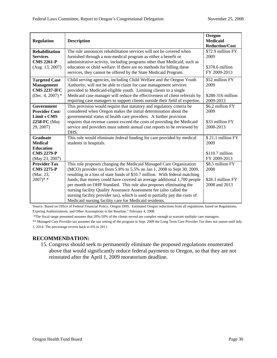| <b>Regulation</b>                     | <b>Description</b>                                                                                                                                         | Oregon<br><b>Medicaid</b><br><b>Reduction/Cost</b> |
|---------------------------------------|------------------------------------------------------------------------------------------------------------------------------------------------------------|----------------------------------------------------|
| <b>Rehabilitation</b>                 | The rule announces rehabilitation services will not be covered when                                                                                        | \$72.9 million FY                                  |
| <b>Services</b>                       | furnished through a non-medical program as either a benefit or                                                                                             | 2009                                               |
| <b>CMS 2261-P</b>                     | administrative activity, including programs other than Medicaid, such as                                                                                   |                                                    |
| (Aug. 13, 2007)                       | education or child welfare. If there are no methods for billing these                                                                                      | \$378.6 million<br>FY 2009-2013                    |
|                                       | services, they cannot be offered by the State Medicaid Program.                                                                                            |                                                    |
| <b>Targeted Case</b>                  | Child serving agencies, including Child Welfare and the Oregon Youth                                                                                       | \$52 million FY                                    |
| <b>Management</b>                     | Authority, will not be able to claim for case management services                                                                                          | 2009                                               |
| <b>CMS 2237-IFC</b>                   | provided to Medicaid-eligible youth. Limiting clients to a single                                                                                          |                                                    |
| (Dec. 4, 2007) $*$                    | Medicaid case manager will reduce the effectiveness of client referrals by<br>requiring case managers to support clients outside their field of expertise. | \$288-316 million<br>2009-2013                     |
| Government                            | This provision would require that statutory and regulatory criteria be                                                                                     | \$6.2 million FY                                   |
| <b>Provider Cost-</b>                 | considered when Oregon makes the initial determination about the                                                                                           | 2009                                               |
| <b>Limits CMS</b>                     | governmental status of health care providers. A further provision                                                                                          |                                                    |
| 2258-FC (May                          | requires that revenue cannot exceed the costs of providing the Medicaid                                                                                    | \$33 million FY                                    |
| 29, 2007)                             | service and providers must submit annual cost reports to be reviewed by                                                                                    | 2008-2013                                          |
|                                       | DHS.                                                                                                                                                       |                                                    |
| <b>Graduate</b>                       | This rule would eliminate federal funding for care provided by medical                                                                                     | \$21.1 million FY                                  |
| <b>Medical</b>                        | students in hospitals.                                                                                                                                     | 2009                                               |
| <b>Education</b><br><b>CMS 2279-P</b> |                                                                                                                                                            | $$110.7$ million                                   |
| (May 23, 2007)                        |                                                                                                                                                            | FY 2009-2013                                       |
| <b>Provider Tax</b>                   | This rule proposes changing the Medicaid Managed Care Organization                                                                                         | \$8.5 million FY                                   |
| <b>CMS 2275-P</b>                     | (MCO) provider tax from 5.8% to 5.5% on Jan 1, 2008 to Sept 30, 2009,                                                                                      | 2008                                               |
| (Mar. 23,                             | resulting in a loss of state funds of \$10.7 million. With federal matching                                                                                |                                                    |
| $2007)**$                             | funds, that money could have covered an average additional 1,700 people                                                                                    | \$28.3 million FY                                  |
|                                       | per month on OHP Standard. This rule also proposes eliminating the                                                                                         | 2008 and 2013                                      |
|                                       | nursing facility Quality Assurance Assessment fee (also called the                                                                                         |                                                    |
|                                       | nursing facility provider tax), which is used to partially pay the costs of<br>Medicaid nursing facility care for Medicaid residents.                      |                                                    |
|                                       |                                                                                                                                                            |                                                    |

Source: Based on Office of Federal Financial Policy, Oregon DHS. Estimated Oregon reductions from all regulations, based on Regulations, Expiring Authorizations, and Other Assumptions in the Baseline," February 4, 2008.

\*The fiscal range presented assumes that 20%-50% of the clients served are complex enough to warrant multiple case managers.

\*\* Managed Care Provider tax assumes the sun setting of the program in Sept. 2009 the Long Term Care Provider Tax does not sunset until July 1, 2014. The percentage reverts back to 6% in 2011.

#### **RECOMMENDATION:**

15. Congress should seek to permanently eliminate the proposed regulations enumerated above that would significantly reduce federal payments to Oregon, so that they are not reinstated after the April 1, 2009 moratorium deadline.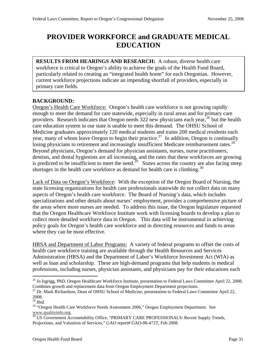## **PROVIDER WORKFORCE and GRADUATE MEDICAL EDUCATION**

**RESULTS FROM HEARINGS AND RESEARCH:** A robust, diverse health care workforce is critical to Oregon's ability to achieve the goals of the Health Fund Board, particularly related to creating an "integrated health home" for each Oregonian. However, current workforce projections indicate an impending shortfall of providers, especially in primary care fields.

#### **BACKGROUND:**

Oregon's Health Care Workforce: Oregon's health care workforce is not growing rapidly enough to meet the demand for care statewide, especially in rural areas and for primary care providers. Research indicates that Oregon needs  $322$  new physicians each year,  $26$  but the health care education system in our state is unable to meet this demand. The OHSU School of Medicine graduates approximately 120 medical students and trains 200 medical residents each year, many of whom leave Oregon to begin their practice.<sup>[27](#page-29-1)</sup> In addition, Oregon is continually losing physicians to retirement and increasingly insufficient Medicare reimbursement rates.<sup>[28](#page-29-2)</sup> Beyond physicians, Oregon's demand for physician assistants, nurses, nurse practitioners, dentists, and dental hygienists are all increasing, and the rates that these workforces are growing is predicted to be insufficient to meet the need.<sup>[29](#page-29-3)</sup> States across the country are also facing steep shortages in the health care workforce as demand for health care is climbing.<sup>[30](#page-29-4)</sup>

Lack of Data on Oregon's Workforce: With the exception of the Oregon Board of Nursing, the state licensing organizations for health care professionals statewide do not collect data on many aspects of Oregon's health care workforce. The Board of Nursing's data, which includes specializations and other details about nurses' employment, provides a comprehensive picture of the areas where more nurses are needed. To address this issue, the Oregon legislature requested that the Oregon Healthcare Workforce Institute work with licensing boards to develop a plan to collect more detailed workforce data in Oregon. This data will be instrumental in achieving policy goals for Oregon's health care workforce and in directing resources and funds to areas where they can be most effective.

HRSA and Department of Labor Programs: A variety of federal programs to offset the costs of health care workforce training are available through the Health Resources and Services Administration (HRSA) and the Department of Labor's Workforce Investment Act (WIA) as well as loan and scholarship. These are high-demand programs that help students in medical professions, including nurses, physician assistants, and physicians pay for their educations each

1

<span id="page-29-0"></span><sup>&</sup>lt;sup>26</sup> Jo Isgrigg, PhD, Oregon Healthcare Workforce Institute, presentation to Federal Laws Committee April 22, 2008. Combines growth and replacement data from Oregon Employment Department projections.

<span id="page-29-1"></span><sup>27</sup> Dr. Mark Richardson, Dean of OHSU School of Medicine, presentation to Federal Laws Committee April 22, 2008.

<span id="page-29-2"></span><sup>28</sup> *Ibid.*

<span id="page-29-3"></span><sup>&</sup>lt;sup>29</sup> "Oregon Health Care Workforce Needs Assessment 2006," Oregon Employment Department. See

<span id="page-29-4"></span>[www.qualityinfo.org.](http://www.qualityinfo.org/)<br><sup>[30](http://www.qualityinfo.org/)</sup> US Government Accountability Office, "PRIMARY CARE PROFESSIONALS: Recent Supply Trends, Projections, and Valuation of Services," GAO report# GAO-08-472T, Feb 2008.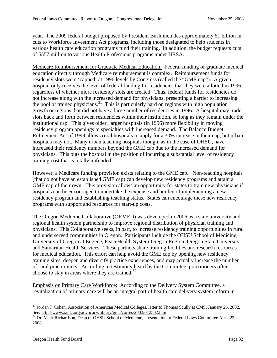year. The 2009 federal budget proposed by President Bush includes approximately \$1 billion in cuts to Workforce Investment Act programs, including those designated to help students in various health care education programs fund their training. In addition, the budget requests cuts of \$557 million to various Health Professions programs under HRSA.

Medicare Reimbursement for Graduate Medical Education: Federal funding of graduate medical education directly through Medicare reimbursement is complex. Reimbursement funds for residency slots were 'capped' at 1996 levels by Congress (called the "GME cap"). A given hospital only receives the level of federal funding for residencies that they were allotted in 1996 regardless of whether more residency slots are created. Thus, federal funds for residencies do not increase along with the increased demand for physicians, presenting a barrier to increasing the pool of trained physicians.<sup>[31](#page-30-0)</sup> This is particularly hard on regions with high population growth or regions that did not have a large number of residencies in 1996. A hospital may trad e slots back and forth between residencies within their institution, so long as they remain under the institutional cap. This gives older, larger hospitals (in 1996) more flexibility in moving residency program openings to specialties with increased demand. The Balance Budget Refinement Act of 1999 allows rural hospitals to apply for a 30% increase in their cap, but urban hospitals may not. Many urban teaching hospitals though, as in the case of OHSU, have increased their residency numbers beyond the GME cap due to the increased demand for physicians. This puts the hospital in the position of incurring a substantial level of residency training cost that is totally unfunded.

However, a Medicare funding provision exists relating to the GME cap. Non-teaching hospitals (that do not have an established GME cap) can develop new residency programs and attain a GME cap of their own. This provision allows an opportunity for states to train new physicians if hospitals can be encouraged to undertake the expense and burden of implementing a new residency program and establishing teaching status. States can encourage these new residency programs with support and resources for start-up costs.

The Oregon Medicine Collaborative (ORMED) was developed in 2006 as a state university and regional health system partnership to improve regional distribution of physician training and physicians. This Collaborative seeks, in part, to increase residency training opportunities in rural and underserved communities in Oregon. Participants include the OHSU School of Medicine, University of Oregon at Eugene, PeaceHealth System-Oregon Region, Oregon State University and Samaritan Health Services. These partners share training facilities and research resources for medical education. This effort can help avoid the GME cap by opening new residency training sites, deepen and diversify practice experiences, and may actually increase the number of rural practitioners. According to testimony heard by the Committee, practitioners often choose to stay in areas where they are trained. $32$ 

Emphasis on Primary Care Workforce: According to the Delivery System Committee, a revitalization of primary care will be an integral part of health care delivery system reform in

<u>.</u>

<span id="page-30-0"></span><sup>&</sup>lt;sup>31</sup> Jordan J. Cohen, Association of American Medical Colleges, letter to Thomas Scully at CMS, January 25, 2002.<br>See: http://www.aamc.org/advocacy/library/gme/corres/2002/012502.htm

<span id="page-30-1"></span><sup>&</sup>lt;sup>32</sup> Dr. Mark Richardson, Dean of OHSU School of Medicine, presentation to Federal Laws Committee April 22, 2008.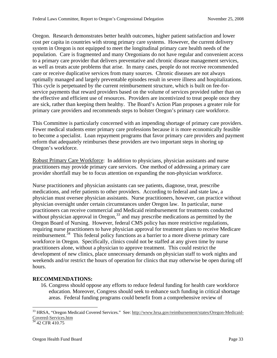Oregon. Research demonstrates better health outcomes, higher patient satisfaction and lower cost per capita in countries with strong primary care systems. However, the current delivery system in Oregon is not equipped to meet the longitudinal primary care health needs of the population. Care is fragmented and many Oregonians do not have regular and convenient access to a primary care provider that delivers preventative and chronic disease management services, as well as treats acute problems that arise. In many cases, people do not receive recommended care or receive duplicative services from many sources. Chronic diseases are not always optimally managed and largely preventable episodes result in severe illness and hospitalizations. This cycle is perpetuated by the current reimbursement structure, which is built on fee-forservice payments that reward providers based on the volume of services provided rather than on the effective and efficient use of resources. Providers are incentivized to treat people once they are sick, rather than keeping them healthy. The Board's Action Plan proposes a greater role for primary care providers and recommends steps to bolster Oregon's primary care workforce.

This Committee is particularly concerned with an impending shortage of primary care providers. Fewer medical students enter primary care professions because it is more economically feasible to become a specialist. Loan repayment programs that favor primary care providers and payment reform that adequately reimburses these providers are two important steps in shoring up Oregon's workforce.

Robust Primary Care Workforce: In addition to physicians, physician assistants and nurse practitioners may provide primary care services. One method of addressing a primary care provider shortfall may be to focus attention on expanding the non-physician workforce.

Nurse practitioners and physician assistants can see patients, diagnose, treat, prescribe medications, and refer patients to other providers. According to federal and state law, a physician must oversee physician assistants. Nurse practitioners, however, can practice without physician oversight under certain circumstances under Oregon law. In particular, nurse practitioners can receive commercial and Medicaid reimbursement for treatments conducted without physician approval in Oregon,  $33$  and may prescribe medications as permitted by the Oregon Board of Nursing. However, federal CMS policy has more restrictive regulations, requiring nurse practitioners to have physician approval for treatment plans to receive Medicare reimbursement.<sup>[34](#page-31-1)</sup> This federal policy functions as a barrier to a more diverse primary care workforce in Oregon. Specifically, clinics could not be staffed at any given time by nurse practitioners alone, without a physician to approve treatment. This could restrict the development of new clinics, place unnecessary demands on physician staff to work nights and weekends and/or restrict the hours of operation for clinics that may otherwise be open during off hours.

#### **RECOMMENDATIONS:**

16. Congress should oppose any efforts to reduce federal funding for health care workforce education. Moreover, Congress should seek to enhance such funding in critical shortage areas. Federal funding programs could benefit from a comprehensive review of

1

<span id="page-31-0"></span><sup>&</sup>lt;sup>33</sup> HRSA, "Oregon Medicaid Covered Services." See: [http://www.hrsa.gov/reimbursement/states/Oregon-Medicaid-](http://www.hrsa.gov/reimbursement/states/Oregon-Medicaid-Covered-Services.htm)[Covered-Services.htm](http://www.hrsa.gov/reimbursement/states/Oregon-Medicaid-Covered-Services.htm)<br>
<sup>[34](http://www.hrsa.gov/reimbursement/states/Oregon-Medicaid-Covered-Services.htm)</sup> 42 CFR 410.75

<span id="page-31-1"></span>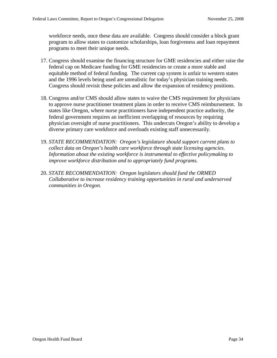workforce needs, once these data are available. Congress should consider a block grant program to allow states to customize scholarships, loan forgiveness and loan repayment programs to meet their unique needs.

- 17. Congress should examine the financing structure for GME residencies and either raise the federal cap on Medicare funding for GME residencies or create a more stable and equitable method of federal funding. The current cap system is unfair to western states and the 1996 levels being used are unrealistic for today's physician training needs. Congress should revisit these policies and allow the expansion of residency positions.
- 18. Congress and/or CMS should allow states to waive the CMS requirement for physicians to approve nurse practitioner treatment plans in order to receive CMS reimbursement. In states like Oregon, where nurse practitioners have independent practice authority, the federal government requires an inefficient overlapping of resources by requiring physician oversight of nurse practitioners. This undercuts Oregon's ability to develop a diverse primary care workforce and overloads existing staff unnecessarily.
- 19. *STATE RECOMMENDATION: Oregon's legislature should support current plans to collect data on Oregon's health care workforce through state licensing agencies. Information about the existing workforce is instrumental to effective policymaking to improve workforce distribution and to appropriately fund programs.*
- 20. *STATE RECOMMENDATION: Oregon legislators should fund the ORMED Collaborative to increase residency training opportunities in rural and underserved communities in Oregon.*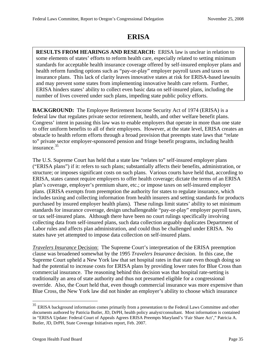## **ERISA**

**RESULTS FROM HEARINGS AND RESEARCH:** ERISA law is unclear in relation to some elements of states' efforts to reform health care, especially related to setting minimum standards for acceptable health insurance coverage offered by self-insured employer plans and health reform funding options such as "pay-or-play" employer payroll taxes and taxes on insurance plans. This lack of clarity leaves innovative states at risk for ERISA-based lawsuits and may prevent some states from implementing innovative health care reform. Further, ERISA hinders states' ability to collect even basic data on self-insured plans, including the number of lives covered under such plans, impeding state public policy efforts.

**BACKGROUND:** The Employee Retirement Income Security Act of 1974 (ERISA) is a federal law that regulates private sector retirement, health, and other welfare benefit plans. Congress' intent in passing this law was to enable employers that operate in more than one state to offer uniform benefits to all of their employees. However, at the state level, ERISA creates an obstacle to health reform efforts through a broad provision that preempts state laws that "relate to" private sector employer-sponsored pension and fringe benefit programs, including health insurance.[35](#page-33-0)

The U.S. Supreme Court has held that a state law "relates to" self-insured employer plans ("ERISA plans") if it: refers to such plans; substantially affects their benefits, administration, or structure; or imposes significant costs on such plans. Various courts have held that, according to ERISA, states cannot require employers to offer health coverage; dictate the terms of an ERISA plan's coverage, employer's premium share, etc.; or impose taxes on self-insured employer plans. (ERISA exempts from preemption the authority for states to regulate insurance, which includes taxing and collecting information from health insurers and setting standards for products purchased by insured employer health plans). These rulings limit states' ability to set minimum standards for insurance coverage, design unchallengeable "pay-or-play" employer payroll taxes, or tax self-insured plans. Although there have been no court rulings specifically involving collecting data from self-insured plans, such data collection arguably duplicates Department of Labor rules and affects plan administration, and could thus be challenged under ERISA. No states have yet attempted to impose data collection on self-insured plans.

*Travelers Insurance* Decision: The Supreme Court's interpretation of the ERISA preemption clause was broadened somewhat by the 1995 *Travelers Insurance* decision. In this case, the Supreme Court upheld a New York law that set hospital rates in that state even though doing so had the potential to increase costs for ERISA plans by providing lower rates for Blue Cross than commercial insurance. The reasoning behind this decision was that hospital rate-setting is traditionally an area of state authority and thus not presumed eligible for a congressional override. Also, the Court held that, even though commercial insurance was more expensive than Blue Cross, the New York law did not hinder an employer's ability to choose which insurance

<span id="page-33-0"></span> $35$  ERISA background information comes primarily from a presentation to the Federal Laws Committee and other documents authored by Patricia Butler, JD, DrPH, health policy analyst/consultant. Most information is contained in "ERISA Update: Federal Court of Appeals Agrees ERISA Preempts Maryland's 'Fair Share Act'," Patricia A. Butler, JD, DrPH, State Coverage Initiatives report, Feb. 2007.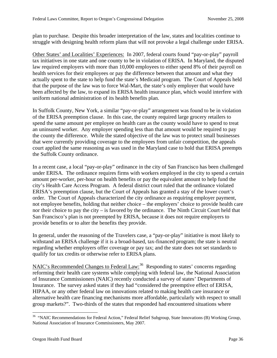plan to purchase. Despite this broader interpretation of the law, states and localities continue to struggle with designing health reform plans that will not provoke a legal challenge under ERISA.

Other States' and Localities' Experiences: In 2007, federal courts found "pay-or-play" payroll tax initiatives in one state and one county to be in violation of ERISA. In Maryland, the disputed law required employers with more than 10,000 employees to either spend 8% of their payroll on health services for their employees or pay the difference between that amount and what they actually spent to the state to help fund the state's Medicaid program. The Court of Appeals held that the purpose of the law was to force Wal-Mart, the state's only employer that would have been affected by the law, to expand its ERISA health insurance plan, which would interfere with uniform national administration of its health benefits plan.

In Suffolk County, New York, a similar "pay-or-play" arrangement was found to be in violation of the ERISA preemption clause. In this case, the county required large grocery retailers to spend the same amount per employee on health care as the county would have to spend to treat an uninsured worker. Any employer spending less than that amount would be required to pay the county the difference. While the stated objective of the law was to protect small businesses that were currently providing coverage to the employees from unfair competition, the appeals court applied the same reasoning as was used in the Maryland case to hold that ERISA preempts the Suffolk County ordinance.

In a recent case, a local "pay-or-play" ordinance in the city of San Francisco has been challenged under ERISA. The ordinance requires firms with workers employed in the city to spend a certain amount per-worker, per-hour on health benefits or pay the equivalent amount to help fund the city's Health Care Access Program. A federal district court ruled that the ordinance violated ERISA's preemption clause, but the Court of Appeals has granted a stay of the lower court's order. The Court of Appeals characterized the city ordinance as requiring employer payment, not employee benefits, holding that neither choice – the employers' choice to provide health care nor their choice to pay the city – is favored by the ordinance. The Ninth Circuit Court held that San Francisco's plan is not preempted by ERISA, because it does not require employers to provide benefits or to alter the benefits they provide.

In general, under the reasoning of the Travelers case, a "pay-or-play" initiative is most likely to withstand an ERISA challenge if it is a broad-based, tax-financed program; the state is neutral regarding whether employers offer coverage or pay tax; and the state does not set standards to qualify for tax credits or otherwise refer to ERISA plans.

NAIC's Recommended Changes to Federal Law:<sup>[36](#page-34-0)</sup> Responding to states' concerns regarding reforming their health care systems while complying with federal law, the National Association of Insurance Commissioners (NAIC) recently conducted a survey of states' Departments of Insurance. The survey asked states if they had "considered the preemptive effect of ERISA, HIPAA, or any other federal law on innovations related to making health care insurance or alternative health care financing mechanisms more affordable, particularly with respect to small group markets?". Two-thirds of the states that responded had encountered situations where

<span id="page-34-0"></span><sup>&</sup>lt;sup>36</sup> "NAIC Recommendations for Federal Action," Federal Relief Subgroup, State Innovations (B) Working Group, National Association of Insurance Commissioners, May 2007.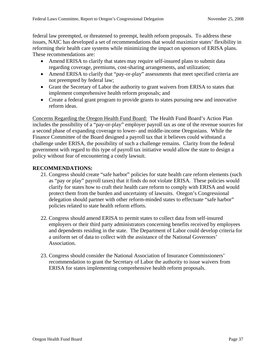federal law preempted, or threatened to preempt, health reform proposals. To address these issues, NAIC has developed a set of recommendations that would maximize states' flexibility in reforming their health care systems while minimizing the impact on sponsors of ERISA plans. These recommendations are:

- Amend ERISA to clarify that states may require self-insured plans to submit data regarding coverage, premiums, cost-sharing arrangements, and utilization;
- Amend ERISA to clarify that "pay-or-play" assessments that meet specified criteria are not preempted by federal law;
- Grant the Secretary of Labor the authority to grant waivers from ERISA to states that implement comprehensive health reform proposals; and
- Create a federal grant program to provide grants to states pursuing new and innovative reform ideas.

Concerns Regarding the Oregon Health Fund Board: The Health Fund Board's Action Plan includes the possibility of a "pay-or-play" employer payroll tax as one of the revenue sources for a second phase of expanding coverage to lower- and middle-income Oregonians. While the Finance Committee of the Board designed a payroll tax that it believes could withstand a challenge under ERISA, the possibility of such a challenge remains. Clarity from the federal government with regard to this type of payroll tax initiative would allow the state to design a policy without fear of encountering a costly lawsuit.

#### **RECOMMENDATIONS:**

- 21. Congress should create "safe harbor" policies for state health care reform elements (such as "pay or play" payroll taxes) that it finds do not violate ERISA. These policies would clarify for states how to craft their health care reform to comply with ERISA and would protect them from the burden and uncertainty of lawsuits. Oregon's Congressional delegation should partner with other reform-minded states to effectuate "safe harbor" policies related to state health reform efforts.
- 22. Congress should amend ERISA to permit states to collect data from self-insured employers or their third party administrators concerning benefits received by employees and dependents residing in the state. The Department of Labor could develop criteria for a uniform set of data to collect with the assistance of the National Governors' Association.
- 23. Congress should consider the National Association of Insurance Commissioners' recommendation to grant the Secretary of Labor the authority to issue waivers from ERISA for states implementing comprehensive health reform proposals.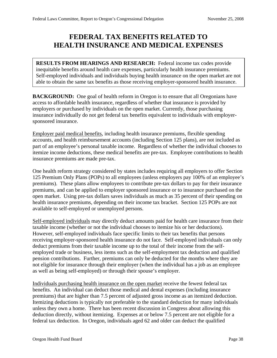## **FEDERAL TAX BENEFITS RELATED TO HEALTH INSURANCE AND MEDICAL EXPENSES**

**RESULTS FROM HEARINGS AND RESEARCH:** Federal income tax codes provide inequitable benefits around health care expenses, particularly health insurance premiums. Self-employed individuals and individuals buying health insurance on the open market are not able to obtain the same tax benefits as those receiving employer-sponsored health insurance.

**BACKGROUND:** One goal of health reform in Oregon is to ensure that all Oregonians have access to affordable health insurance, regardless of whether that insurance is provided by employers or purchased by individuals on the open market. Currently, those purchasing insurance individually do not get federal tax benefits equivalent to individuals with employersponsored insurance.

Employer paid medical benefits, including health insurance premiums, flexible spending accounts, and health reimbursement accounts (including Section 125 plans), are not included as part of an employee's personal taxable income. Regardless of whether the individual chooses to itemize income deductions, these medical benefits are pre-tax. Employee contributions to health insurance premiums are made pre-tax.

One health reform strategy considered by states includes requiring all employers to offer Section 125 Premium Only Plans (POPs) to all employees (unless employers pay 100% of an employee's premiums). These plans allow employees to contribute pre-tax dollars to pay for their insurance premiums, and can be applied to employer sponsored insurance or to insurance purchased on the open market. Using pre-tax dollars saves individuals as much as 35 percent of their spending on health insurance premiums, depending on their income tax bracket. Section 125 POPs are not available to self-employed or unemployed persons.

Self-employed individuals may directly deduct amounts paid for health care insurance from their taxable income (whether or not the individual chooses to itemize his or her deductions). However, self-employed individuals face specific limits to their tax benefits that persons receiving employer-sponsored health insurance do not face. Self-employed individuals can only deduct premiums from their taxable income up to the total of their income from the selfemployed trade or business, less items such as the self-employment tax deduction and qualified pension contributions. Further, premiums can only be deducted for the months where they are not eligible for insurance through their employer (when the individual has a job as an employee as well as being self-employed) or through their spouse's employer.

Individuals purchasing health insurance on the open market receive the fewest federal tax benefits. An individual can deduct those medical and dental expenses (including insurance premiums) that are higher than 7.5 percent of adjusted gross income as an itemized deduction. Itemizing deductions is typically not preferable to the standard deduction for many individuals unless they own a home. There has been recent discussion in Congress about allowing this deduction directly, without itemizing. Expenses at or below 7.5 percent are not eligible for a federal tax deduction. In Oregon, individuals aged 62 and older can deduct the qualified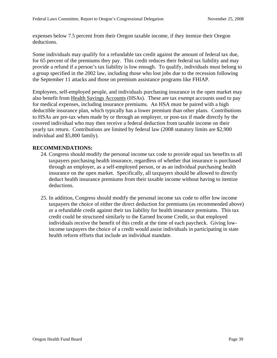expenses below 7.5 percent from their Oregon taxable income, if they itemize their Oregon deductions.

Some individuals may qualify for a refundable tax credit against the amount of federal tax due, for 65 percent of the premiums they pay. This credit reduces their federal tax liability and may provide a refund if a person's tax liability is low enough. To qualify, individuals must belong to a group specified in the 2002 law, including those who lost jobs due to the recession following the September 11 attacks and those on premium assistance programs like FHIAP.

Employees, self-employed people, and individuals purchasing insurance in the open market may also benefit from Health Savings Accounts (HSAs). These are tax exempt accounts used to pay for medical expenses, including insurance premiums. An HSA must be paired with a high deductible insurance plan, which typically has a lower premium than other plans. Contributions to HSAs are pre-tax when made by or through an employer, or post-tax if made directly by the covered individual who may then receive a federal deduction from taxable income on their yearly tax return. Contributions are limited by federal law (2008 statutory limits are \$2,900 individual and \$5,800 family).

#### **RECOMMENDATIONS:**

- 24. Congress should modify the personal income tax code to provide equal tax benefits to all taxpayers purchasing health insurance, regardless of whether that insurance is purchased through an employer, as a self-employed person, or as an individual purchasing health insurance on the open market. Specifically, all taxpayers should be allowed to directly deduct health insurance premiums from their taxable income without having to itemize deductions.
- 25. In addition, Congress should modify the personal income tax code to offer low income taxpayers the choice of either the direct deduction for premiums (as recommended above) or a refundable credit against their tax liability for health insurance premiums. This tax credit could be structured similarly to the Earned Income Credit, so that employed individuals receive the benefit of this credit at the time of each paycheck. Giving lowincome taxpayers the choice of a credit would assist individuals in participating in state health reform efforts that include an individual mandate.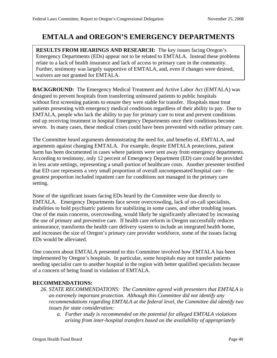## **EMTALA and OREGON'S EMERGENCY DEPARTMENTS**

**RESULTS FROM HEARINGS AND RESEARCH:** The key issues facing Oregon's Emergency Departments (EDs) appear not to be related to EMTALA. Instead these problems relate to a lack of health insurance and lack of access to primary care in the community. Further, testimony was largely supportive of EMTALA, and, even if changes were desired, waivers are not granted for EMTALA.

**BACKGROUND:** The Emergency Medical Treatment and Active Labor Act (EMTALA) was designed to prevent hospitals from transferring uninsured patients to public hospitals without first screening patients to ensure they were stable for transfer. Hospitals must treat patients presenting with emergency medical conditions regardless of their ability to pay. Due to EMTALA, people who lack the ability to pay for primary care to treat and prevent conditions end up receiving treatment in hospital Emergency Departments once their conditions become severe. In many cases, these medical crises could have been prevented with earlier primary care.

The Committee heard arguments demonstrating the need for, and benefits of, EMTALA, and arguments against changing EMTALA. For example, despite EMTALA protections, patient harm has been documented in cases where patients were sent away from emergency departments. According to testimony, only 12 percent of Emergency Department (ED) care could be provided in less acute settings, representing a small portion of healthcare costs. Another presenter testified that ED care represents a very small proportion of overall uncompensated hospital care – the greatest proportion included inpatient care for conditions not managed in the primary care setting.

None of the significant issues facing EDs heard by the Committee were due directly to EMTALA. Emergency Departments face severe overcrowding, lack of on-call specialists, inabilities to hold psychiatric patients for stabilizing in some cases, and other troubling issues. One of the main concerns, overcrowding, would likely be significantly alleviated by increasing the use of primary and preventive care. If health care reform in Oregon successfully reduces uninsurance, transforms the health care delivery system to include an integrated health home, and increases the size of Oregon's primary care provider workforce, some of the issues facing EDs would be alleviated.

One concern about EMTALA presented to this Committee involved how EMTALA has been implemented by Oregon's hospitals. In particular, some hospitals may not transfer patients needing specialist care to another hospital in the region with better qualified specialists because of a concern of being found in violation of EMTALA.

#### **RECOMMENDATIONS:**

- *26. STATE RECOMMENDATIONS: The Committee agreed with presenters that EMTALA is an extremely important protection. Although this Committee did not identify any recommendations regarding EMTALA at the federal level, the Committee did identify two issues for state consideration:* 
	- *a. Further study is recommended on the potential for alleged EMTALA violations arising from inter-hospital transfers based on the availability of appropriately*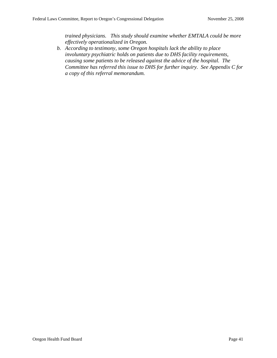*trained physicians. This study should examine whether EMTALA could be more effectively operationalized in Oregon.* 

*b. According to testimony, some Oregon hospitals lack the ability to place involuntary psychiatric holds on patients due to DHS facility requirements, causing some patients to be released against the advice of the hospital. The Committee has referred this issue to DHS for further inquiry. See Appendix C for a copy of this referral memorandum.*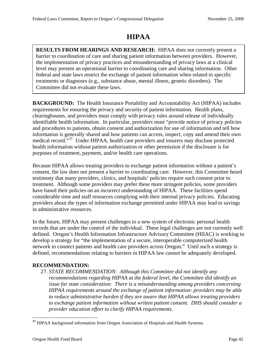## **HIPAA**

**RESULTS FROM HEARINGS AND RESEARCH:** HIPAA does not currently present a barrier to coordination of care and sharing patient information between providers. However, the implementation of privacy practices and misunderstanding of privacy laws at a clinical level may present an operational barrier to coordinating care and sharing information. Other federal and state laws restrict the exchange of patient information when related to specific treatments or diagnoses (e.g., substance abuse, mental illness, genetic disorders). The Committee did not evaluate these laws.

**BACKGROUND:** The Health Insurance Portability and Accountability Act (HIPAA) includes requirements for ensuring the privacy and security of patient information. Health plans, clearinghouses, and providers must comply with privacy rules around release of individually identifiable health information. In particular, providers must "provide notice of privacy policies and procedures to patients, obtain consent and authorization for use of information and tell how information is generally shared and how patients can access, inspect, copy and amend their own medical record."[37](#page-40-0) Under HIPAA, health care providers and insurers may disclose protected health information without patient authorization or other permission if the disclosure is for purposes of treatment, payment, and/or health care operations.

Because HIPAA allows treating providers to exchange patient information without a patient's consent, the law does not present a barrier to coordinating care. However, this Committee heard testimony that many providers, clinics, and hospitals' policies require such consent prior to treatment. Although some providers may prefer these more stringent policies, some providers have based their policies on an incorrect understanding of HIPAA. These facilities spend considerable time and staff resources complying with their internal privacy policies. Educating providers about the types of information exchange permitted under HIPAA may lead to savings in administrative resources.

In the future, HIPAA may present challenges to a new system of electronic personal health records that are under the control of the individual. These legal challenges are not currently well defined. Oregon's Health Information Infrastructure Advisory Committee (HIIAC) is working to develop a strategy for "the implementation of a secure, interoperable computerized health network to connect patients and health care providers across Oregon." Until such a strategy is defined, recommendations relating to barriers in HIPAA law cannot be adequately developed.

#### **RECOMMENDATION:**

27. *STATE RECOMMENDATION: Although this Committee did not identify any recommendations regarding HIPAA at the federal level, the Committee did identify an issue for state consideration: There is a misunderstanding among providers concerning HIPAA requirements around the exchange of patient information: providers may be able to reduce administrative burden if they are aware that HIPAA allows treating providers to exchange patient information without written patient consent. DHS should consider a provider education effort to clarify HIPAA requirements.* 

<u>.</u>

<span id="page-40-0"></span>**<sup>37</sup>** HIPAA background information from Oregon Association of Hospitals and Health Systems.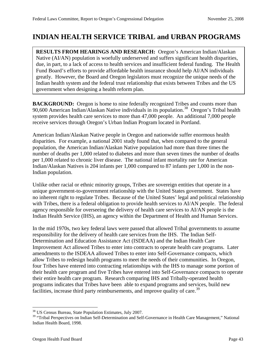## **INDIAN HEALTH SERVICE TRIBAL and URBAN PROGRAMS**

**RESULTS FROM HEARINGS AND RESEARCH:** Oregon's American Indian/Alaskan Native (AI/AN) population is woefully underserved and suffers significant health disparities, due, in part, to a lack of access to health services and insufficient federal funding. The Health Fund Board's efforts to provide affordable health insurance should help AI/AN individuals greatly. However, the Board and Oregon legislators must recognize the unique needs of the Indian health system and the federal trust relationship that exists between Tribes and the US government when designing a health reform plan.

**BACKGROUND:** Oregon is home to nine federally recognized Tribes and counts more than 90,600 American Indian/Alaskan Native individuals in its population.<sup>[38](#page-41-0)</sup> Oregon's Tribal health system provides health care services to more than 47,000 people. An additional 7,000 people receive services through Oregon's Urban Indian Program located in Portland.

American Indian/Alaskan Native people in Oregon and nationwide suffer enormous health disparities. For example, a national 2001 study found that, when compared to the general population, the American Indian/Alaskan Native population had more than three times the number of deaths per 1,000 related to diabetes and more than seven times the number of deaths per 1,000 related to chronic liver disease. The national infant mortality rate for American Indian/Alaskan Natives is 204 infants per 1,000 compared to 87 infants per 1,000 in the non-Indian population.

Unlike other racial or ethnic minority groups, Tribes are sovereign entities that operate in a unique government-to-government relationship with the United States government. States have no inherent right to regulate Tribes. Because of the United States' legal and political relationship with Tribes, there is a federal obligation to provide health services to AI/AN people. The federal agency responsible for overseeing the delivery of health care services to AI/AN people is the Indian Health Service (IHS), an agency within the Department of Health and Human Services.

In the mid 1970s, two key federal laws were passed that allowed Tribal governments to assume responsibility for the delivery of health care services from the IHS. The Indian Self-Determination and Education Assistance Act (ISDEAA) and the Indian Health Care Improvement Act allowed Tribes to enter into contracts to operate health care programs. Later amendments to the ISDEAA allowed Tribes to enter into Self-Governance compacts, which allow Tribes to redesign health programs to meet the needs of their communities. In Oregon, four Tribes have entered into contracting relationships with the IHS to manage some portion of their health care program and five Tribes have entered into Self-Governance compacts to operate their entire health care program. Research comparing IHS and Tribally-operated health programs indicates that Tribes have been able to expand programs and services, build new facilities, increase third party reimbursements, and improve quality of care.<sup>[39](#page-41-1)</sup>

<sup>38</sup> US Census Bureau, State Population Estimates, July 2007.

<span id="page-41-1"></span><span id="page-41-0"></span><sup>&</sup>lt;sup>39</sup> "Tribal Perspectives on Indian Self-Determination and Self-Governance in Health Care Management," National Indian Health Board, 1998.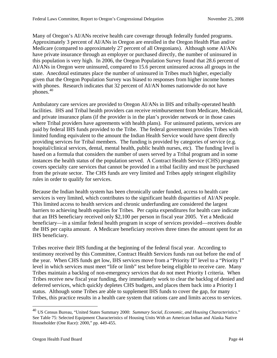Many of Oregon's AI/ANs receive health care coverage through federally funded programs. Approximately 3 percent of AI/ANs in Oregon are enrolled in the Oregon Health Plan and/or Medicare (compared to approximately 27 percent of all Oregonians). Although some AI/ANs have private insurance through an employer or purchased directly, the number of uninsured in this population is very high. In 2006, the Oregon Population Survey found that 28.6 percent of AI/ANs in Oregon were uninsured, compared to 15.6 percent uninsured across all groups in the state. Anecdotal estimates place the number of uninsured in Tribes much higher, especially given that the Oregon Population Survey was biased to responses from higher income homes with phones. Research indicates that 32 percent of AI/AN homes nationwide do not have phones.<sup>[40](#page-42-0)</sup>

Ambulatory care services are provided to Oregon AI/ANs in IHS and tribally-operated health facilities. IHS and Tribal health providers can receive reimbursement from Medicare, Medicaid, and private insurance plans (if the provider is in the plan's provider network or in those cases where Tribal providers have agreements with health plans). For uninsured patients, services are paid by federal IHS funds provided to the Tribe. The federal government provides Tribes with limited funding equivalent to the amount the Indian Health Service would have spent directly providing services for Tribal members. The funding is provided by categories of service (e.g. hospital/clinical services, dental, mental health, public health nurses, etc). The funding level is based on a formula that considers the number of users served by a Tribal program and in some instances the health status of the population served. A Contract Health Service (CHS) program covers specialty care services that cannot be provided in a tribal facility and must be purchased from the private sector. The CHS funds are very limited and Tribes apply stringent eligibility rules in order to qualify for services.

Because the Indian health system has been chronically under funded, access to health care services is very limited, which contributes to the significant health disparities of AI/AN people. This limited access to health services and chronic underfunding are considered the largest barriers to achieving health equities for Tribes. Per capita expenditures for health care indicate that an IHS beneficiary received only \$2,100 per person in fiscal year 2005. Yet a Medicaid beneficiary—in a similar federal health program in scope of services provided—receives double the IHS per capita amount. A Medicare beneficiary receives three times the amount spent for an IHS beneficiary.

Tribes receive their IHS funding at the beginning of the federal fiscal year. According to testimony received by this Committee, Contract Health Services funds run out before the end of the year. When CHS funds get low, IHS services move from a "Priority II" level to a "Priority I" level in which services must meet "life or limb" test before being eligible to receive care. Many Tribes maintain a backlog of non-emergency services that do not meet Priority I criteria. When Tribes receive new fiscal year funding, they immediately work to clear the backlog of denied and deferred services, which quickly depletes CHS budgets, and places them back into a Priority I status. Although some Tribes are able to supplement IHS funds to cover the gap, for many Tribes, this practice results in a health care system that rations care and limits access to services.

<span id="page-42-0"></span><sup>40</sup> US Census Bureau, "United States Summary 2000: *Summary Social, Economic, and Housing Characteristics*." See Table 75: Selected Equipment Characteristics of Housing Units With an American Indian and Alaska Native Householder (One Race): 2000," pp. 449-455.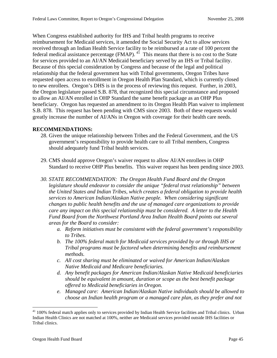When Congress established authority for IHS and Tribal health programs to receive reimbursement for Medicaid services, it amended the Social Security Act to allow services received through an Indian Health Service facility to be reimbursed at a rate of 100 percent the federal medical assistance percentage (FMAP).  $4^{\frac{1}{1}}$  This means that there is no cost to the State for services provided to an AI/AN Medicaid beneficiary served by an IHS or Tribal facility. Because of this special consideration by Congress and because of the legal and political relationship that the federal government has with Tribal governments, Oregon Tribes have requested open access to enrollment in Oregon Health Plan Standard, which is currently closed to new enrollees. Oregon's DHS is in the process of reviewing this request. Further, in 2003, the Oregon legislature passed S.B. 878, that recognized this special circumstance and proposed to allow an AI/AN enrolled in OHP Standard the same benefit package as an OHP Plus beneficiary. Oregon has requested an amendment to its Oregon Health Plan waiver to implement S.B. 878. This request has been pending with CMS since 2003. Both of these requests would greatly increase the number of AI/ANs in Oregon with coverage for their health care needs.

#### **RECOMMENDATIONS:**

- 28. Given the unique relationship between Tribes and the Federal Government, and the US government's responsibility to provide health care to all Tribal members, Congress should adequately fund Tribal health services.
- 29. CMS should approve Oregon's waiver request to allow AI/AN enrollees in OHP Standard to receive OHP Plus benefits. This waiver request has been pending since 2003.
- *30. STATE RECOMMENDATION: The Oregon Health Fund Board and the Oregon legislature should endeavor to consider the unique "federal trust relationship" between the United States and Indian Tribes, which creates a federal obligation to provide health services to American Indian/Alaskan Native people. When considering significant changes to public health benefits and the use of managed care organizations to provide care any impact on this special relationship must be considered. A letter to the Health Fund Board from the Northwest Portland Area Indian Health Board points out several areas for the Board to consider:* 
	- *a. Reform initiatives must be consistent with the federal government's responsibility to Tribes.*
	- *b. The 100% federal match for Medicaid services provided by or through IHS or Tribal programs must be factored when determining benefits and reimbursement methods.*
	- *c. All cost sharing must be eliminated or waived for American Indian/Alaskan Native Medicaid and Medicare beneficiaries.*
	- *d. Any benefit packages for American Indian/Alaskan Native Medicaid beneficiaries should be equivalent in amount, duration or scope as the best benefit package offered to Medicaid beneficiaries in Oregon.*
	- *e. Managed care: American Indian/Alaskan Native individuals should be allowed to choose an Indian health program or a managed care plan, as they prefer and not*

<span id="page-43-0"></span><sup>&</sup>lt;sup>41</sup> 100% federal match applies only to services provided by Indian Health Service facilities and Tribal clinics. Urban Indian Health Clinics are not matched at 100%, neither are Medicaid services provided outside IHS facilities or Tribal clinics.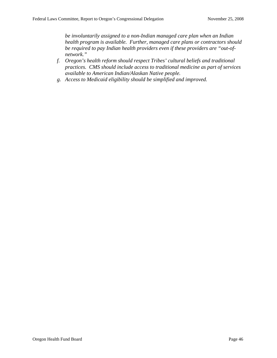*be involuntarily assigned to a non-Indian managed care plan when an Indian health program is available. Further, managed care plans or contractors should be required to pay Indian health providers even if these providers are "out-ofnetwork."* 

- *f. Oregon's health reform should respect Tribes' cultural beliefs and traditional practices. CMS should include access to traditional medicine as part of services available to American Indian/Alaskan Native people.*
- *g. Access to Medicaid eligibility should be simplified and improved.*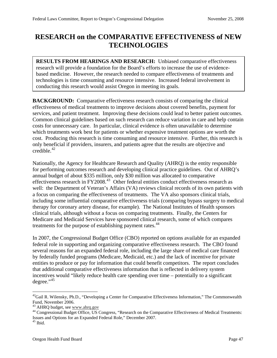## **RESEARCH on the COMPARATIVE EFFECTIVENESS of NEW TECHNOLOGIES**

**RESULTS FROM HEARINGS AND RESEARCH:** Unbiased comparative effectiveness research will provide a foundation for the Board's efforts to increase the use of evidencebased medicine. However, the research needed to compare effectiveness of treatments and technologies is time consuming and resource intensive. Increased federal involvement in conducting this research would assist Oregon in meeting its goals.

**BACKGROUND:** Comparative effectiveness research consists of comparing the clinical effectiveness of medical treatments to improve decisions about covered benefits, payment for services, and patient treatment. Improving these decisions could lead to better patient outcomes. Common clinical guidelines based on such research can reduce variation in care and help contain costs for unnecessary care. In particular, clinical evidence is often unavailable to determine which treatments work best for patients or whether expensive treatment options are worth the cost. Producing this research is time consuming and resource intensive. Further, this research is only beneficial if providers, insurers, and patients agree that the results are objective and  $c$ redible.<sup>[42](#page-45-0)</sup>

Nationally, the Agency for Healthcare Research and Quality (AHRQ) is the entity responsible for performing outcomes research and developing clinical practice guidelines. Out of AHRQ's annual budget of about \$335 million, only \$30 million was allocated to comparative effectiveness research in FY2008.<sup>[43](#page-45-1)</sup> Other federal entities conduct effectiveness research as well: the Department of Veteran's Affairs (VA) reviews clinical records of its own patients with a focus on comparing the effectiveness of treatments. The VA also sponsors clinical trials, including some influential comparative effectiveness trials (comparing bypass surgery to medical therapy for coronary artery disease, for example). The National Institutes of Health sponsors clinical trials, although without a focus on comparing treatments. Finally, the Centers for Medicare and Medicaid Services have sponsored clinical research, some of which compares treatments for the purpose of establishing payment rates.<sup>[44](#page-45-2)</sup>

In 2007, the Congressional Budget Office (CBO) reported on options available for an expanded federal role in supporting and organizing comparative effectiveness research. The CBO found several reasons for an expanded federal role, including the large share of medical care financed by federally funded programs (Medicare, Medicaid, etc.) and the lack of incentive for private entities to produce or pay for information that could benefit competitors. The report concludes that additional comparative effectiveness information that is reflected in delivery system incentives would "likely reduce health care spending over time – potentially to a significant degree."<sup>[45](#page-45-3)</sup>

<span id="page-45-0"></span> $\overline{a}$ <sup>42</sup>Gail R. Wilensky, Ph.D., "Developing a Center for Comparative Effectiveness Information," The Commonwealth Fund, November 2006.<br><sup>43</sup> AHRQ budget, see www.ahrq.gov

<span id="page-45-1"></span>

<span id="page-45-3"></span><span id="page-45-2"></span><sup>&</sup>lt;sup>44</sup> Congressional Budget Office, US Congress, "Research on the Comparative Effectiveness of Medical Treatments: Issues and Options for an Expanded Federal Role," December 2007. 45 Ibid.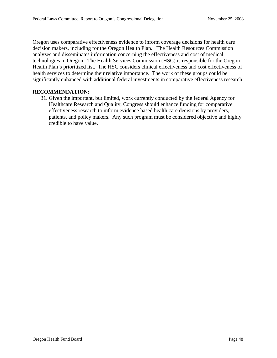Oregon uses comparative effectiveness evidence to inform coverage decisions for health care decision makers, including for the Oregon Health Plan. The Health Resources Commission analyzes and disseminates information concerning the effectiveness and cost of medical technologies in Oregon. The Health Services Commission (HSC) is responsible for the Oregon Health Plan's prioritized list. The HSC considers clinical effectiveness and cost effectiveness of health services to determine their relative importance. The work of these groups could be significantly enhanced with additional federal investments in comparative effectiveness research.

#### **RECOMMENDATION:**

31. Given the important, but limited, work currently conducted by the federal Agency for Healthcare Research and Quality, Congress should enhance funding for comparative effectiveness research to inform evidence based health care decisions by providers, patients, and policy makers. Any such program must be considered objective and highly credible to have value.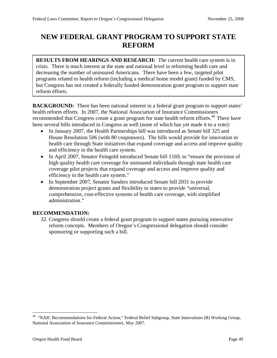## **NEW FEDERAL GRANT PROGRAM TO SUPPORT STATE REFORM**

**RESULTS FROM HEARINGS AND RESEARCH:** The current health care system is in crisis. There is much interest at the state and national level in reforming health care and decreasing the number of uninsured Americans. There have been a few, targeted pilot programs related to health reform (including a medical home model grant) funded by CMS, but Congress has not created a federally funded demonstration grant program to support state reform efforts.

**BACKGROUND:** There has been national interest in a federal grant program to support states' health reform efforts. In 2007, the National Association of Insurance Commissioners recommended that Congress create a grant program for state health reform efforts.<sup>[46](#page-47-0)</sup> There have been several bills introduced in Congress as well (none of which has yet made it to a vote):

- In January 2007, the Health Partnerships bill was introduced as Senate bill 325 and House Resolution 506 (with 80 cosponsors). The bills would provide for innovation in health care through State initiatives that expand coverage and access and improve quality and efficiency in the health care system.
- In April 2007, Senator Feingold introduced Senate bill 1169, to "ensure the provision of high quality health care coverage for uninsured individuals through state health care coverage pilot projects that expand coverage and access and improve quality and efficiency in the health care system."
- In September 2007, Senator Sanders introduced Senate bill 2031 to provide demonstration project grants and flexibility to states to provide "universal, comprehensive, cost-effective systems of health care coverage, with simplified administration."

#### **RECOMMENDATION:**

32. Congress should create a federal grant program to support states pursuing innovative reform concepts. Members of Oregon's Congressional delegation should consider sponsoring or supporting such a bill.

1

<span id="page-47-0"></span><sup>&</sup>lt;sup>46</sup> "NAIC Recommendations for Federal Action," Federal Relief Subgroup, State Innovations (B) Working Group, National Association of Insurance Commissioners, May 2007.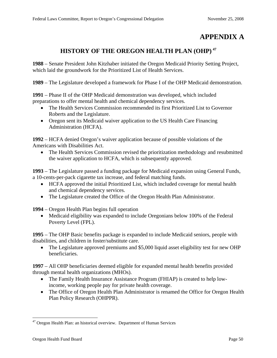## **APPENDIX A**

### **HISTORY OF THE OREGON HEALTH PLAN (OHP) [47](#page-48-0)**

**1988** – Senate President John Kitzhaber initiated the Oregon Medicaid Priority Setting Project, which laid the groundwork for the Prioritized List of Health Services.

**1989** – The Legislature developed a framework for Phase I of the OHP Medicaid demonstration.

**1991** – Phase II of the OHP Medicaid demonstration was developed, which included preparations to offer mental health and chemical dependency services.

- The Health Services Commission recommended its first Prioritized List to Governor Roberts and the Legislature.
- Oregon sent its Medicaid waiver application to the US Health Care Financing Administration (HCFA).

**1992** – HCFA denied Oregon's waiver application because of possible violations of the Americans with Disabilities Act.

• The Health Services Commission revised the prioritization methodology and resubmitted the waiver application to HCFA, which is subsequently approved.

**1993** – The Legislature passed a funding package for Medicaid expansion using General Funds, a 10-cents-per-pack cigarette tax increase, and federal matching funds.

- HCFA approved the initial Prioritized List, which included coverage for mental health and chemical dependency services.
- The Legislature created the Office of the Oregon Health Plan Administrator.

**1994** – Oregon Health Plan begins full operation

• Medicaid eligibility was expanded to include Oregonians below 100% of the Federal Poverty Level (FPL).

**1995** – The OHP Basic benefits package is expanded to include Medicaid seniors, people with disabilities, and children in foster/substitute care.

• The Legislature approved premiums and \$5,000 liquid asset eligibility test for new OHP beneficiaries.

**1997** – All OHP beneficiaries deemed eligible for expanded mental health benefits provided through mental health organizations (MHOs).

- The Family Health Insurance Assistance Program (FHIAP) is created to help lowincome, working people pay for private health coverage.
- The Office of Oregon Health Plan Administrator is renamed the Office for Oregon Health Plan Policy Research (OHPPR).

<span id="page-48-0"></span> $47$  Oregon Health Plan: an historical overview. Department of Human Services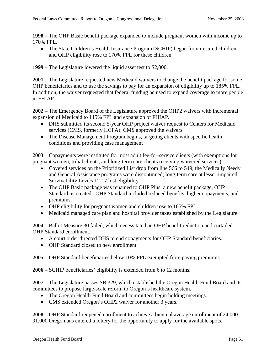**1998** – The OHP Basic benefit package expanded to include pregnant women with income up to 170% FPL.

• The State Children's Health Insurance Program (SCHIP) began for uninsured children and OHP eligibility rose to 170% FPL for these children.

**1999** – The Legislature lowered the liquid asset test to \$2,000.

**2001** – The Legislature requested new Medicaid waivers to change the benefit package for some OHP beneficiaries and to use the savings to pay for an expansion of eligibility up to 185% FPL. In addition, the waiver requested that federal funding be used to expand coverage to more people in FHIAP.

**2002** – The Emergency Board of the Legislature approved the OHP2 waivers with incremental expansion of Medicaid to 115% FPL and expansion of FHIAP.

- DHS submitted its second 5-year OHP project waiver request to Centers for Medicaid services (CMS, formerly HCFA); CMS approved the waivers.
- The Disease Management Program begins, targeting clients with specific health conditions and providing case management

**2003** – Copayments were instituted for most adult fee-for-service clients (with exemptions for pregnant women, tribal clients, and long-term care clients receiving waivered services).

- Covered services on the Prioritized List drop from line 566 to 549; the Medically Needy and General Assistance programs were discontinued; long-term care at lesser-impaired Survivability Levels 12-17 lost eligibility.
- The OHP Basic package was renamed to OHP Plus; a new benefit package, OHP Standard, is created. OHP Standard included reduced benefits, higher copayments, and premiums.
- OHP eligibility for pregnant women and children rose to 185% FPL.
- Medicaid managed care plan and hospital provider taxes established by the Legislature.

**2004** – Ballot Measure 30 failed, which necessitated an OHP benefit reduction and curtailed OHP Standard enrollment.

- A court order directed DHS to end copayments for OHP Standard beneficiaries.
- OHP Standard closed to new enrollment.

**2005** – OHP Standard beneficiaries below 10% FPL exempted from paying premiums.

**2006** – SCHIP beneficiaries' eligibility is extended from 6 to 12 months.

**2007** – The Legislature passes SB 329, which established the Oregon Health Fund Board and its committees to propose large-scale reform to Oregon's healthcare system.

- The Oregon Health Fund Board and committees begin holding meetings.
- CMS extended Oregon's OHP2 waiver for another 3 years.

**2008** – OHP Standard reopened enrollment to achieve a biennial average enrollment of 24,000. 91,000 Oregonians entered a lottery for the opportunity to apply for the available spots.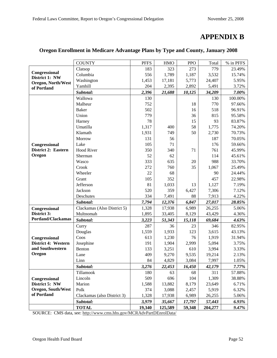## **APPENDIX B**

|                                 | <b>COUNTY</b>               | <b>PFFS</b> | <b>HMO</b> | <b>PPO</b> | Total   | % in PFFS |
|---------------------------------|-----------------------------|-------------|------------|------------|---------|-----------|
|                                 | Clatsop                     | 183         | 323        | 273        | 779     | 23.49%    |
| Congressional<br>District 1: NW | Columbia                    | 556         | 1,789      | 1,187      | 3,532   | 15.74%    |
| Oregon, North/West              | Washington                  | 1,453       | 17,181     | 5,773      | 24,407  | 5.95%     |
| of Portland                     | Yamhill                     | 204         | 2,395      | 2,892      | 5,491   | 3.72%     |
|                                 | Subtotal:                   | 2,396       | 21,688     | 10,125     | 34,209  | 7.00%     |
|                                 | Wallowa                     | 130         |            |            | 130     | 100.00%   |
|                                 | Malheur                     | 752         |            | 18         | 770     | 97.66%    |
|                                 | <b>Baker</b>                | 502         |            | 16         | 518     | 96.91%    |
|                                 | Union                       | 779         |            | 36         | 815     | 95.58%    |
|                                 | Harney                      | 78          |            | 15         | 93      | 83.87%    |
|                                 | Umatilla                    | 1,317       | 400        | 58         | 1,775   | 74.20%    |
|                                 | Klamath                     | 1,931       | 749        | 50         | 2,730   | 70.73%    |
|                                 | Morrow                      | 131         | 56         |            | 187     | 70.05%    |
| Congressional                   | Lake                        | 105         | 71         |            | 176     | 59.66%    |
| District 2: Eastern             | Hood River                  | 350         | 340        | 71         | 761     | 45.99%    |
| Oregon                          | Sherman                     | 52          | 62         |            | 114     | 45.61%    |
|                                 | Wasco                       | 333         | 635        | 20         | 988     | 33.70%    |
|                                 | Crook                       | 272         | 760        | 35         | 1,067   | 25.49%    |
|                                 | Wheeler                     | 22          | 68         |            | 90      | 24.44%    |
|                                 | Grant                       | 105         | 352        |            | 457     | 22.98%    |
|                                 | Jefferson                   | 81          | 1,033      | 13         | 1,127   | 7.19%     |
|                                 | Jackson                     | 520         | 359        | 6,427      | 7,306   | 7.12%     |
|                                 | Deschutes                   | 334         | 7,491      | 88         | 7,913   | 4.22%     |
|                                 | Subtotal:                   | 7,794       | 12,376     | 6,847      | 27,017  | 28.85%    |
| Congressional                   | Clackamas (Also District 5) | 1,328       | 17,938     | 6,989      | 26,255  | 5.06%     |
| District 3:                     | Multnomah                   | 1,895       | 33,405     | 8,129      | 43,429  | 4.36%     |
| Portland/Clackamas              | Subtotal:                   | 3,223       | 51,343     | 15,118     | 69,684  | 4.63%     |
|                                 | Curry                       | 287         | 36         | 23         | 346     | 82.95%    |
|                                 | Douglas                     | 1,559       | 1,933      | 123        | 3,615   | 43.13%    |
| Congressional                   | Coos                        | 613         | 1,230      | 76         | 1,919   | 31.94%    |
| District 4: Western             | Josephine                   | 191         | 1,904      | 2,999      | 5,094   | 3.75%     |
| and Southwestern                | Benton                      | 133         | 3,251      | 610        | 3,994   | 3.33%     |
| Oregon                          | Lane                        | 409         | 9,270      | 9,535      | 19,214  | 2.13%     |
|                                 | Linn                        | 84          | 4,829      | 3,084      | 7,997   | 1.05%     |
|                                 | Subtotal:                   | 3,276       | 22,453     | 16,450     | 42,179  | 7.77%     |
|                                 | Tillamook                   | 180         | 63         | 68         | 311     | 57.88%    |
| Congressional                   | Lincoln                     | 509         | 696        | 104        | 1,309   | 38.88%    |
| District 5: NW                  | Marion                      | 1,588       | 13,882     | 8,179      | 23,649  | 6.71%     |
| <b>Oregon, South/West</b>       | Polk                        | 374         | 3,088      | 2,457      | 5,919   | 6.32%     |
| of Portland                     | Clackamas (also District 3) | 1,328       | 17,938     | 6,989      | 26,255  | 5.06%     |
|                                 | Subtotal:                   | 3,979       | 35,667     | 17,797     | 57,443  | 6.93%     |
|                                 | <b>TOTAL</b>                | 19,340      | 125,589    | 59,348     | 204,277 | $9.47\%$  |

#### **Oregon Enrollment in Medicare Advantage Plans by Type and County, January 2008**

SOURCE: CMS data, see: <http://www.cms.hhs.gov/MCRAdvPartDEnrolData/>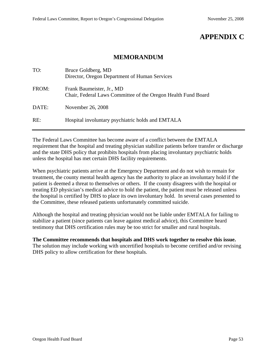## **APPENDIX C**

#### **MEMORANDUM**

| TO:   | Bruce Goldberg, MD<br>Director, Oregon Department of Human Services                        |
|-------|--------------------------------------------------------------------------------------------|
| FROM: | Frank Baumeister, Jr., MD<br>Chair, Federal Laws Committee of the Oregon Health Fund Board |
| DATE: | November 26, 2008                                                                          |
| RE:   | Hospital involuntary psychiatric holds and EMTALA                                          |

The Federal Laws Committee has become aware of a conflict between the EMTALA requirement that the hospital and treating physician stabilize patients before transfer or discharge and the state DHS policy that prohibits hospitals from placing involuntary psychiatric holds unless the hospital has met certain DHS facility requirements.

When psychiatric patients arrive at the Emergency Department and do not wish to remain for treatment, the county mental health agency has the authority to place an involuntary hold if the patient is deemed a threat to themselves or others. If the county disagrees with the hospital or treating ED physician's medical advice to hold the patient, the patient must be released unless the hospital is certified by DHS to place its own involuntary hold. In several cases presented to the Committee, these released patients unfortunately committed suicide.

Although the hospital and treating physician would not be liable under EMTALA for failing to stabilize a patient (since patients can leave against medical advice), this Committee heard testimony that DHS certification rules may be too strict for smaller and rural hospitals.

**The Committee recommends that hospitals and DHS work together to resolve this issue.** The solution may include working with uncertified hospitals to become certified and/or revising DHS policy to allow certification for these hospitals.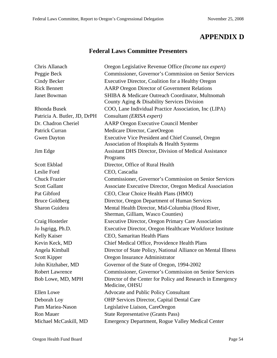## **APPENDIX D**

## **Federal Laws Committee Presenters**

| Chris Allanach               | Oregon Legislative Revenue Office (Income tax expert)                                           |
|------------------------------|-------------------------------------------------------------------------------------------------|
| Peggie Beck                  | Commissioner, Governor's Commission on Senior Services                                          |
| Cindy Becker                 | Executive Director, Coalition for a Healthy Oregon                                              |
| <b>Rick Bennett</b>          | <b>AARP Oregon Director of Government Relations</b>                                             |
| <b>Janet Bowman</b>          | SHIBA & Medicare Outreach Coordinator, Multnomah<br>County Aging & Disability Services Division |
| <b>Rhonda Busek</b>          | COO, Lane Individual Practice Association, Inc (LIPA)                                           |
| Patricia A. Butler, JD, DrPH | Consultant (ERISA expert)                                                                       |
| Dr. Chadron Cheriel          | <b>AARP Oregon Executive Council Member</b>                                                     |
| Patrick Curran               | Medicare Director, CareOregon                                                                   |
| <b>Gwen Dayton</b>           | Executive Vice President and Chief Counsel, Oregon<br>Association of Hospitals & Health Systems |
| Jim Edge                     | <b>Assistant DHS Director, Division of Medical Assistance</b><br>Programs                       |
| Scott Ekblad                 | Director, Office of Rural Health                                                                |
| Leslie Ford                  | CEO, Cascadia                                                                                   |
| <b>Chuck Frazier</b>         | Commissioner, Governor's Commission on Senior Services                                          |
| <b>Scott Gallant</b>         | <b>Associate Executive Director, Oregon Medical Association</b>                                 |
| Pat Gibford                  | CEO, Clear Choice Health Plans (HMO)                                                            |
| <b>Bruce Goldberg</b>        | Director, Oregon Department of Human Services                                                   |
| Sharon Guidera               | Mental Health Director, Mid-Columbia (Hood River,<br>Sherman, Gilliam, Wasco Counties)          |
| Craig Hostetler              | <b>Executive Director, Oregon Primary Care Association</b>                                      |
| Jo Isgrigg, Ph.D.            | Executive Director, Oregon Healthcare Workforce Institute                                       |
| <b>Kelly Kaiser</b>          | CEO, Samaritan Health Plans                                                                     |
| Kevin Keck, MD               | Chief Medical Office, Providence Health Plans                                                   |
| Angela Kimball               | Director of State Policy, National Alliance on Mental Illness                                   |
| Scott Kipper                 | Oregon Insurance Administrator                                                                  |
| John Kitzhaber, MD           | Governor of the State of Oregon, 1994-2002                                                      |
| <b>Robert Lawrence</b>       | Commissioner, Governor's Commission on Senior Services                                          |
| Bob Lowe, MD, MPH            | Director of the Center for Policy and Research in Emergency<br>Medicine, OHSU                   |
| <b>Ellen</b> Lowe            | <b>Advocate and Public Policy Consultant</b>                                                    |
| Deborah Loy                  | <b>OHP Services Director, Capital Dental Care</b>                                               |
| Pam Mariea-Nason             | Legislative Liaison, CareOregon                                                                 |
| <b>Ron Mauer</b>             | <b>State Representative (Grants Pass)</b>                                                       |
| Michael McCaskill, MD        | <b>Emergency Department, Rogue Valley Medical Center</b>                                        |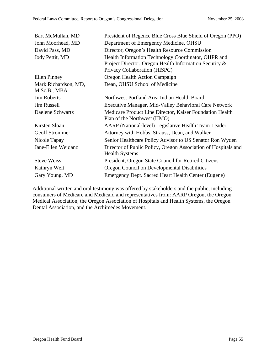| Bart McMullan, MD     | President of Regence Blue Cross Blue Shield of Oregon (PPO)    |
|-----------------------|----------------------------------------------------------------|
| John Moorhead, MD     | Department of Emergency Medicine, OHSU                         |
| David Pass, MD        | Director, Oregon's Health Resource Commission                  |
| Jody Pettit, MD       | Health Information Technology Coordinator, OHPR and            |
|                       | Project Director, Oregon Health Information Security &         |
|                       | Privacy Collaboration (HISPC)                                  |
| <b>Ellen Pinney</b>   | Oregon Health Action Campaign                                  |
| Mark Richardson, MD,  | Dean, OHSU School of Medicine                                  |
| M.Sc.B., MBA          |                                                                |
| <b>Jim Roberts</b>    | Northwest Portland Area Indian Health Board                    |
| <b>Jim Russell</b>    | Executive Manager, Mid-Valley Behavioral Care Network          |
| Daelene Schwartz      | Medicare Product Line Director, Kaiser Foundation Health       |
|                       | Plan of the Northwest (HMO)                                    |
| Kirsten Sloan         | AARP (National-level) Legislative Health Team Leader           |
| <b>Geoff Strommer</b> | Attorney with Hobbs, Strauss, Dean, and Walker                 |
| Nicole Tapay          | Senior Healthcare Policy Advisor to US Senator Ron Wyden       |
| Jane-Ellen Weidanz    | Director of Public Policy, Oregon Association of Hospitals and |
|                       | <b>Health Systems</b>                                          |
| <b>Steve Weiss</b>    | President, Oregon State Council for Retired Citizens           |
| Kathryn Weit          | Oregon Council on Developmental Disabilities                   |
| Gary Young, MD        | Emergency Dept. Sacred Heart Health Center (Eugene)            |

Additional written and oral testimony was offered by stakeholders and the public, including consumers of Medicare and Medicaid and representatives from: AARP Oregon, the Oregon Medical Association, the Oregon Association of Hospitals and Health Systems, the Oregon Dental Association, and the Archimedes Movement.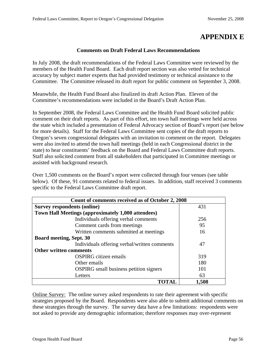## **APPENDIX E**

#### **Comments on Draft Federal Laws Recommendations**

In July 2008, the draft recommendations of the Federal Laws Committee were reviewed by the members of the Health Fund Board. Each draft report section was also vetted for technical accuracy by subject matter experts that had provided testimony or technical assistance to the Committee. The Committee released its draft report for public comment on September 3, 2008.

Meanwhile, the Health Fund Board also finalized its draft Action Plan. Eleven of the Committee's recommendations were included in the Board's Draft Action Plan.

In September 2008, the Federal Laws Committee and the Health Fund Board solicited public comment on their draft reports. As part of this effort, ten town hall meetings were held across the state which included a presentation of Federal Advocacy section of Board's report (see below for more details). Staff for the Federal Laws Committee sent copies of the draft reports to Oregon's seven congressional delegates with an invitation to comment on the report. Delegates were also invited to attend the town hall meetings (held in each Congressional district in the state) to hear constituents' feedback on the Board and Federal Laws Committee draft reports. Staff also solicited comment from all stakeholders that participated in Committee meetings or assisted with background research.

Over 1,500 comments on the Board's report were collected through four venues (see table below). Of these, 91 comments related to federal issues. In addition, staff received 3 comments specific to the Federal Laws Committee draft report.

| Count of comments received as of October 2, 2008          |       |  |  |  |
|-----------------------------------------------------------|-------|--|--|--|
| <b>Survey respondents (online)</b>                        | 431   |  |  |  |
| <b>Town Hall Meetings (approximately 1,000 attendees)</b> |       |  |  |  |
| Individuals offering verbal comments                      | 256   |  |  |  |
| Comment cards from meetings                               | 95    |  |  |  |
| Written comments submitted at meetings                    | 16    |  |  |  |
| <b>Board meeting, Sept. 30</b>                            |       |  |  |  |
| Individuals offering verbal/written comments              | 47    |  |  |  |
| <b>Other written comments</b>                             |       |  |  |  |
| <b>OSPIRG</b> citizen emails                              | 319   |  |  |  |
| Other emails                                              | 180   |  |  |  |
| <b>OSPIRG</b> small business petition signers             | 101   |  |  |  |
| Letters                                                   | 63    |  |  |  |
|                                                           | 1,508 |  |  |  |

Online Survey: The online survey asked respondents to rate their agreement with specific strategies proposed by the Board. Respondents were also able to submit additional comments on these strategies through the survey. The survey data have a few limitations: respondents were not asked to provide any demographic information; therefore responses may over-represent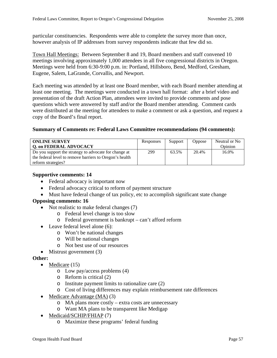particular constituencies. Respondents were able to complete the survey more than once, however analysis of IP addresses from survey respondents indicate that few did so.

Town Hall Meetings: Between September 8 and 19, Board members and staff convened 10 meetings involving approximately 1,000 attendees in all five congressional districts in Oregon. Meetings were held from 6:30-9:00 p.m. in: Portland, Hillsboro, Bend, Medford, Gresham, Eugene, Salem, LaGrande, Corvallis, and Newport.

Each meeting was attended by at least one Board member, with each Board member attending at least one meeting. The meetings were conducted in a town hall format: after a brief video and presentation of the draft Action Plan, attendees were invited to provide comments and pose questions which were answered by staff and/or the Board member attending. Comment cards were distributed at the meeting for attendees to make a comment or ask a question, and request a copy of the Board's final report.

#### **Summary of Comments re: Federal Laws Committee recommendations (94 comments):**

| <b>ONLINE SURVEY</b><br><b>Q. on FEDERAL ADVOCACY</b>   | Responses | Support | <b>Oppose</b> | Neutral or No<br>Opinion |
|---------------------------------------------------------|-----------|---------|---------------|--------------------------|
| Do you support the strategy to advocate for change at   | 299       | 63.5%   | 20.4%         | 16.0%                    |
| the federal level to remove barriers to Oregon's health |           |         |               |                          |
| reform strategies?                                      |           |         |               |                          |

#### **Supportive comments: 14**

- Federal advocacy is important now
- Federal advocacy critical to reform of payment structure
- Must have federal change of tax policy, etc to accomplish significant state change

#### **Opposing comments: 16**

- Not realistic to make federal changes (7)
	- o Federal level change is too slow
	- o Federal government is bankrupt can't afford reform
- Leave federal level alone (6):
	- o Won't be national changes
	- o Will be national changes
	- o Not best use of our resources
- Mistrust government (3)

#### **Other:**

- Medicare (15)
	- o Low pay/access problems (4)
	- o Reform is critical (2)
	- o Institute payment limits to rationalize care (2)
	- o Cost of living differences may explain reimbursement rate differences
- Medicare Advantage (MA) (3)
	- o MA plans more costly extra costs are unnecessary
	- o Want MA plans to be transparent like Medigap
- Medicaid/SCHIP/FHIAP (7)
	- o Maximize these programs' federal funding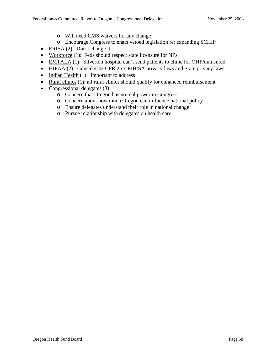- o Will need CMS waivers for any change
- o Encourage Congress to enact vetoed legislation re: expanding SCHIP
- ERISA (2): Don't change it
- Workforce (1): Feds should respect state licensure for NPs
- EMTALA (1): Silverton hospital can't send patients to clinic for OHP/uninsured
- HIPAA (2): Consider 42 CFR 2 re: MH/SA privacy laws and State privacy laws
- Indian Health (1): Important to address
- Rural clinics (1): all rural clinics should qualify for enhanced reimbursement
- Congressional delegates (3)
	- o Concern that Oregon has no real power in Congress
	- o Concern about how much Oregon can influence national policy
	- o Ensure delegates understand their role in national change
	- o Pursue relationship with delegates on health care